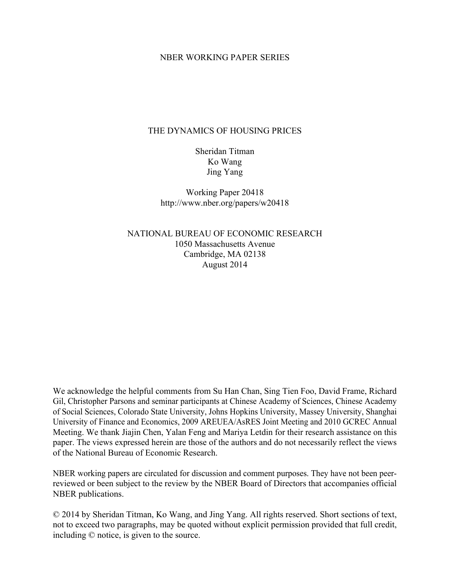### NBER WORKING PAPER SERIES

### THE DYNAMICS OF HOUSING PRICES

Sheridan Titman Ko Wang Jing Yang

Working Paper 20418 http://www.nber.org/papers/w20418

NATIONAL BUREAU OF ECONOMIC RESEARCH 1050 Massachusetts Avenue Cambridge, MA 02138 August 2014

We acknowledge the helpful comments from Su Han Chan, Sing Tien Foo, David Frame, Richard Gil, Christopher Parsons and seminar participants at Chinese Academy of Sciences, Chinese Academy of Social Sciences, Colorado State University, Johns Hopkins University, Massey University, Shanghai University of Finance and Economics, 2009 AREUEA/AsRES Joint Meeting and 2010 GCREC Annual Meeting. We thank Jiajin Chen, Yalan Feng and Mariya Letdin for their research assistance on this paper. The views expressed herein are those of the authors and do not necessarily reflect the views of the National Bureau of Economic Research.

NBER working papers are circulated for discussion and comment purposes. They have not been peerreviewed or been subject to the review by the NBER Board of Directors that accompanies official NBER publications.

© 2014 by Sheridan Titman, Ko Wang, and Jing Yang. All rights reserved. Short sections of text, not to exceed two paragraphs, may be quoted without explicit permission provided that full credit, including © notice, is given to the source.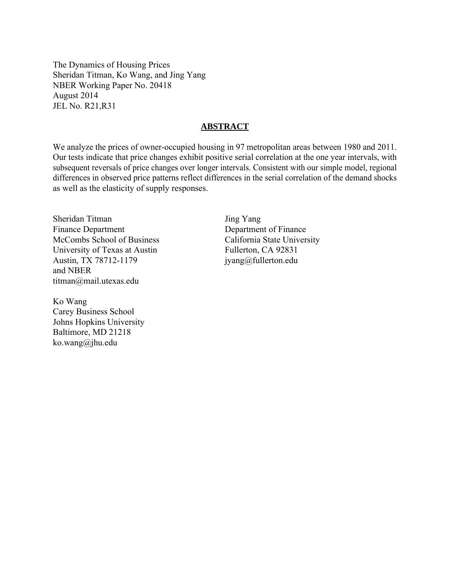The Dynamics of Housing Prices Sheridan Titman, Ko Wang, and Jing Yang NBER Working Paper No. 20418 August 2014 JEL No. R21,R31

### **ABSTRACT**

We analyze the prices of owner-occupied housing in 97 metropolitan areas between 1980 and 2011. Our tests indicate that price changes exhibit positive serial correlation at the one year intervals, with subsequent reversals of price changes over longer intervals. Consistent with our simple model, regional differences in observed price patterns reflect differences in the serial correlation of the demand shocks as well as the elasticity of supply responses.

Sheridan Titman Finance Department McCombs School of Business University of Texas at Austin Austin, TX 78712-1179 and NBER titman@mail.utexas.edu

Ko Wang Carey Business School Johns Hopkins University Baltimore, MD 21218 ko.wang@jhu.edu

Jing Yang Department of Finance California State University Fullerton, CA 92831 jyang@fullerton.edu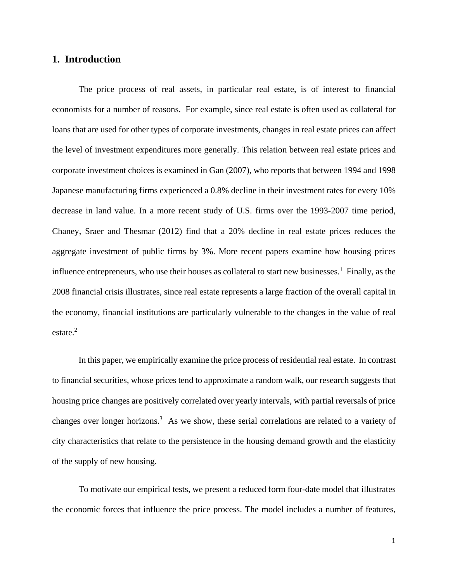# **1. Introduction**

The price process of real assets, in particular real estate, is of interest to financial economists for a number of reasons. For example, since real estate is often used as collateral for loans that are used for other types of corporate investments, changes in real estate prices can affect the level of investment expenditures more generally. This relation between real estate prices and corporate investment choices is examined in Gan (2007), who reports that between 1994 and 1998 Japanese manufacturing firms experienced a 0.8% decline in their investment rates for every 10% decrease in land value. In a more recent study of U.S. firms over the 1993-2007 time period, Chaney, Sraer and Thesmar (2012) find that a 20% decline in real estate prices reduces the aggregate investment of public firms by 3%. More recent papers examine how housing prices influence entrepreneurs, who use their houses as collateral to start new businesses.<sup>1</sup> Finally, as the 2008 financial crisis illustrates, since real estate represents a large fraction of the overall capital in the economy, financial institutions are particularly vulnerable to the changes in the value of real estate. $2$ 

In this paper, we empirically examine the price process of residential real estate. In contrast to financial securities, whose prices tend to approximate a random walk, our research suggests that housing price changes are positively correlated over yearly intervals, with partial reversals of price changes over longer horizons.<sup>3</sup> As we show, these serial correlations are related to a variety of city characteristics that relate to the persistence in the housing demand growth and the elasticity of the supply of new housing.

To motivate our empirical tests, we present a reduced form four-date model that illustrates the economic forces that influence the price process. The model includes a number of features,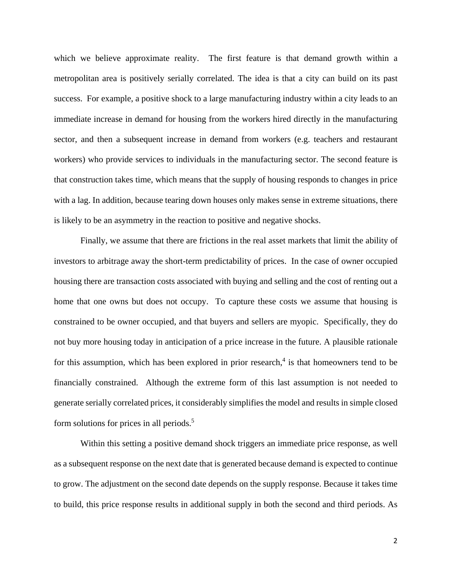which we believe approximate reality. The first feature is that demand growth within a metropolitan area is positively serially correlated. The idea is that a city can build on its past success. For example, a positive shock to a large manufacturing industry within a city leads to an immediate increase in demand for housing from the workers hired directly in the manufacturing sector, and then a subsequent increase in demand from workers (e.g. teachers and restaurant workers) who provide services to individuals in the manufacturing sector. The second feature is that construction takes time, which means that the supply of housing responds to changes in price with a lag. In addition, because tearing down houses only makes sense in extreme situations, there is likely to be an asymmetry in the reaction to positive and negative shocks.

Finally, we assume that there are frictions in the real asset markets that limit the ability of investors to arbitrage away the short-term predictability of prices. In the case of owner occupied housing there are transaction costs associated with buying and selling and the cost of renting out a home that one owns but does not occupy. To capture these costs we assume that housing is constrained to be owner occupied, and that buyers and sellers are myopic. Specifically, they do not buy more housing today in anticipation of a price increase in the future. A plausible rationale for this assumption, which has been explored in prior research,<sup>4</sup> is that homeowners tend to be financially constrained. Although the extreme form of this last assumption is not needed to generate serially correlated prices, it considerably simplifies the model and results in simple closed form solutions for prices in all periods.<sup>5</sup>

Within this setting a positive demand shock triggers an immediate price response, as well as a subsequent response on the next date that is generated because demand is expected to continue to grow. The adjustment on the second date depends on the supply response. Because it takes time to build, this price response results in additional supply in both the second and third periods. As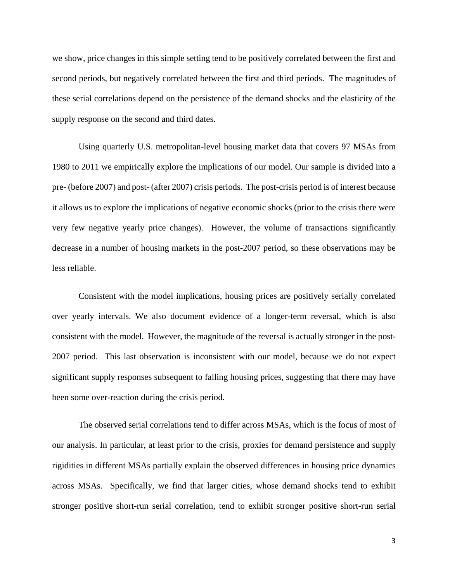we show, price changes in this simple setting tend to be positively correlated between the first and second periods, but negatively correlated between the first and third periods. The magnitudes of these serial correlations depend on the persistence of the demand shocks and the elasticity of the supply response on the second and third dates.

Using quarterly U.S. metropolitan-level housing market data that covers 97 MSAs from 1980 to 2011 we empirically explore the implications of our model. Our sample is divided into a pre- (before 2007) and post- (after 2007) crisis periods. The post-crisis period is of interest because it allows us to explore the implications of negative economic shocks (prior to the crisis there were very few negative yearly price changes). However, the volume of transactions significantly decrease in a number of housing markets in the post-2007 period, so these observations may be less reliable.

Consistent with the model implications, housing prices are positively serially correlated over yearly intervals. We also document evidence of a longer-term reversal, which is also consistent with the model. However, the magnitude of the reversal is actually stronger in the post-2007 period. This last observation is inconsistent with our model, because we do not expect significant supply responses subsequent to falling housing prices, suggesting that there may have been some over-reaction during the crisis period.

The observed serial correlations tend to differ across MSAs, which is the focus of most of our analysis. In particular, at least prior to the crisis, proxies for demand persistence and supply rigidities in different MSAs partially explain the observed differences in housing price dynamics across MSAs. Specifically, we find that larger cities, whose demand shocks tend to exhibit stronger positive short-run serial correlation, tend to exhibit stronger positive short-run serial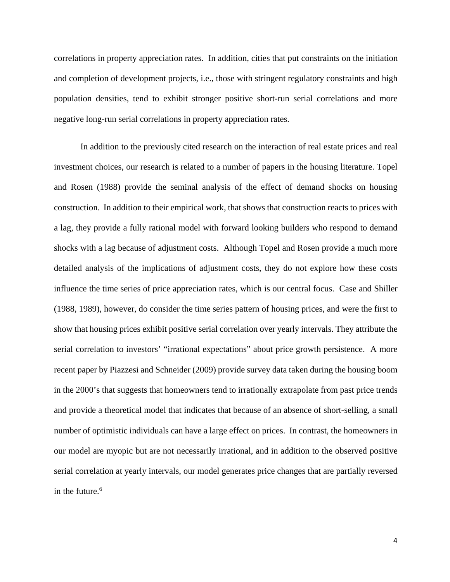correlations in property appreciation rates. In addition, cities that put constraints on the initiation and completion of development projects, i.e., those with stringent regulatory constraints and high population densities, tend to exhibit stronger positive short-run serial correlations and more negative long-run serial correlations in property appreciation rates.

In addition to the previously cited research on the interaction of real estate prices and real investment choices, our research is related to a number of papers in the housing literature. Topel and Rosen (1988) provide the seminal analysis of the effect of demand shocks on housing construction. In addition to their empirical work, that shows that construction reacts to prices with a lag, they provide a fully rational model with forward looking builders who respond to demand shocks with a lag because of adjustment costs. Although Topel and Rosen provide a much more detailed analysis of the implications of adjustment costs, they do not explore how these costs influence the time series of price appreciation rates, which is our central focus. Case and Shiller (1988, 1989), however, do consider the time series pattern of housing prices, and were the first to show that housing prices exhibit positive serial correlation over yearly intervals. They attribute the serial correlation to investors' "irrational expectations" about price growth persistence. A more recent paper by Piazzesi and Schneider (2009) provide survey data taken during the housing boom in the 2000's that suggests that homeowners tend to irrationally extrapolate from past price trends and provide a theoretical model that indicates that because of an absence of short-selling, a small number of optimistic individuals can have a large effect on prices. In contrast, the homeowners in our model are myopic but are not necessarily irrational, and in addition to the observed positive serial correlation at yearly intervals, our model generates price changes that are partially reversed in the future. $6$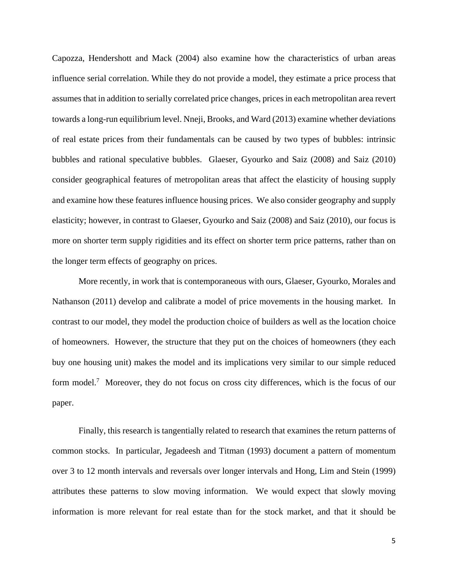Capozza, Hendershott and Mack (2004) also examine how the characteristics of urban areas influence serial correlation. While they do not provide a model, they estimate a price process that assumes that in addition to serially correlated price changes, prices in each metropolitan area revert towards a long-run equilibrium level. Nneji, Brooks, and Ward (2013) examine whether deviations of real estate prices from their fundamentals can be caused by two types of bubbles: intrinsic bubbles and rational speculative bubbles. Glaeser, Gyourko and Saiz (2008) and Saiz (2010) consider geographical features of metropolitan areas that affect the elasticity of housing supply and examine how these features influence housing prices. We also consider geography and supply elasticity; however, in contrast to Glaeser, Gyourko and Saiz (2008) and Saiz (2010), our focus is more on shorter term supply rigidities and its effect on shorter term price patterns, rather than on the longer term effects of geography on prices.

More recently, in work that is contemporaneous with ours, Glaeser, Gyourko, Morales and Nathanson (2011) develop and calibrate a model of price movements in the housing market. In contrast to our model, they model the production choice of builders as well as the location choice of homeowners. However, the structure that they put on the choices of homeowners (they each buy one housing unit) makes the model and its implications very similar to our simple reduced form model.<sup>7</sup> Moreover, they do not focus on cross city differences, which is the focus of our paper.

Finally, this research is tangentially related to research that examines the return patterns of common stocks. In particular, Jegadeesh and Titman (1993) document a pattern of momentum over 3 to 12 month intervals and reversals over longer intervals and Hong, Lim and Stein (1999) attributes these patterns to slow moving information. We would expect that slowly moving information is more relevant for real estate than for the stock market, and that it should be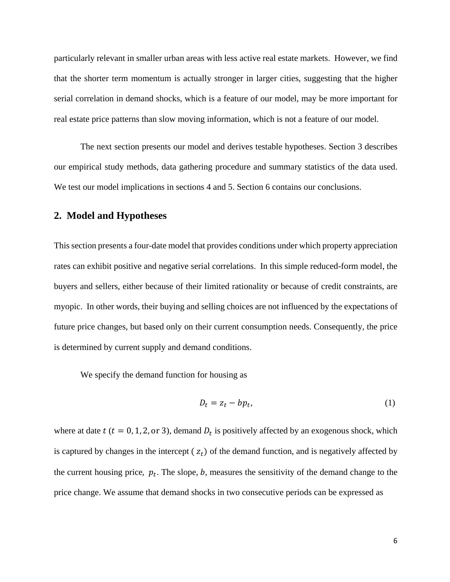particularly relevant in smaller urban areas with less active real estate markets. However, we find that the shorter term momentum is actually stronger in larger cities, suggesting that the higher serial correlation in demand shocks, which is a feature of our model, may be more important for real estate price patterns than slow moving information, which is not a feature of our model.

 The next section presents our model and derives testable hypotheses. Section 3 describes our empirical study methods, data gathering procedure and summary statistics of the data used. We test our model implications in sections 4 and 5. Section 6 contains our conclusions.

### **2. Model and Hypotheses**

This section presents a four-date model that provides conditions under which property appreciation rates can exhibit positive and negative serial correlations. In this simple reduced-form model, the buyers and sellers, either because of their limited rationality or because of credit constraints, are myopic. In other words, their buying and selling choices are not influenced by the expectations of future price changes, but based only on their current consumption needs. Consequently, the price is determined by current supply and demand conditions.

We specify the demand function for housing as

$$
D_t = z_t - bp_t,\tag{1}
$$

where at date t ( $t = 0, 1, 2,$  or 3), demand  $D_t$  is positively affected by an exogenous shock, which is captured by changes in the intercept  $(z_t)$  of the demand function, and is negatively affected by the current housing price,  $p_t$ . The slope, b, measures the sensitivity of the demand change to the price change. We assume that demand shocks in two consecutive periods can be expressed as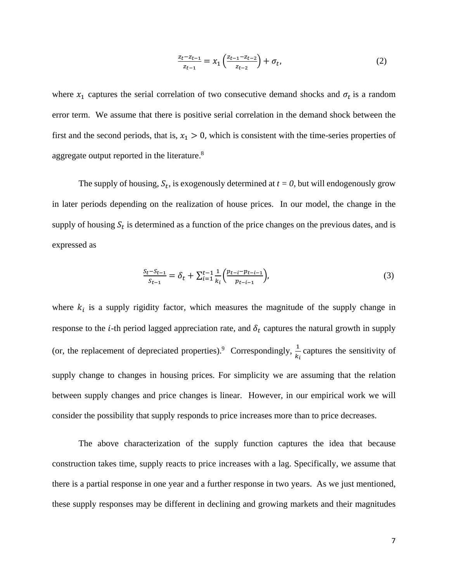$$
\frac{z_t - z_{t-1}}{z_{t-1}} = x_1 \left( \frac{z_{t-1} - z_{t-2}}{z_{t-2}} \right) + \sigma_t,
$$
\n(2)

where  $x_1$  captures the serial correlation of two consecutive demand shocks and  $\sigma_t$  is a random error term. We assume that there is positive serial correlation in the demand shock between the first and the second periods, that is,  $x_1 > 0$ , which is consistent with the time-series properties of aggregate output reported in the literature. $8$ 

The supply of housing,  $S_t$ , is exogenously determined at  $t = 0$ , but will endogenously grow in later periods depending on the realization of house prices. In our model, the change in the supply of housing  $S_t$  is determined as a function of the price changes on the previous dates, and is expressed as

$$
\frac{S_t - S_{t-1}}{S_{t-1}} = \delta_t + \sum_{i=1}^{t-1} \frac{1}{k_i} \left( \frac{p_{t-i} - p_{t-i-1}}{p_{t-i-1}} \right),\tag{3}
$$

where  $k_i$  is a supply rigidity factor, which measures the magnitude of the supply change in response to the *i*-th period lagged appreciation rate, and  $\delta_t$  captures the natural growth in supply (or, the replacement of depreciated properties).<sup>9</sup> Correspondingly,  $\frac{1}{k_i}$  captures the sensitivity of supply change to changes in housing prices. For simplicity we are assuming that the relation between supply changes and price changes is linear. However, in our empirical work we will consider the possibility that supply responds to price increases more than to price decreases.

The above characterization of the supply function captures the idea that because construction takes time, supply reacts to price increases with a lag. Specifically, we assume that there is a partial response in one year and a further response in two years. As we just mentioned, these supply responses may be different in declining and growing markets and their magnitudes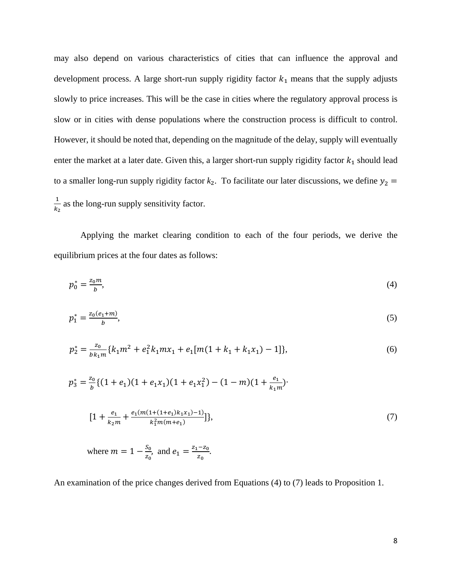may also depend on various characteristics of cities that can influence the approval and development process. A large short-run supply rigidity factor  $k_1$  means that the supply adjusts slowly to price increases. This will be the case in cities where the regulatory approval process is slow or in cities with dense populations where the construction process is difficult to control. However, it should be noted that, depending on the magnitude of the delay, supply will eventually enter the market at a later date. Given this, a larger short-run supply rigidity factor  $k_1$  should lead to a smaller long-run supply rigidity factor  $k_2$ . To facilitate our later discussions, we define  $y_2$  =  $\mathbf 1$  $\frac{1}{k_2}$  as the long-run supply sensitivity factor.

Applying the market clearing condition to each of the four periods, we derive the equilibrium prices at the four dates as follows:

$$
p_0^* = \frac{z_0 m}{b},\tag{4}
$$

$$
p_1^* = \frac{z_0(e_1 + m)}{b},\tag{5}
$$

$$
p_2^* = \frac{z_0}{bk_1m} \{k_1m^2 + e_1^2k_1mx_1 + e_1[m(1 + k_1 + k_1x_1) - 1]\},\tag{6}
$$

$$
p_3^* = \frac{z_0}{b} \{ (1 + e_1)(1 + e_1 x_1)(1 + e_1 x_1^2) - (1 - m)(1 + \frac{e_1}{k_1 m}) \}
$$
  
\n
$$
[1 + \frac{e_1}{k_2 m} + \frac{e_1 (m(1 + (1 + e_1)k_1 x_1) - 1)}{k_1^2 m(m + e_1)} ] \},
$$
  
\nwhere  $m = 1 - \frac{s_0}{z_0}$ , and  $e_1 = \frac{z_1 - z_0}{z_0}$ .

An examination of the price changes derived from Equations (4) to (7) leads to Proposition 1.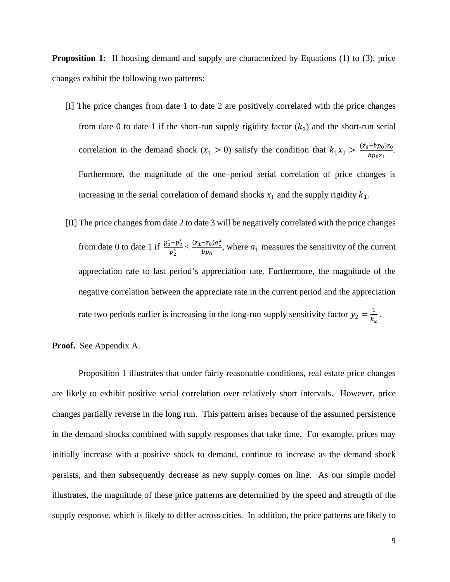**Proposition 1:** If housing demand and supply are characterized by Equations (1) to (3), price changes exhibit the following two patterns:

- [I] The price changes from date 1 to date 2 are positively correlated with the price changes from date 0 to date 1 if the short-run supply rigidity factor  $(k_1)$  and the short-run serial correlation in the demand shock  $(x_1 > 0)$  satisfy the condition that  $k_1 x_1 > \frac{(z_0 - bp_0)z_0}{bp_0 z_1}$ . Furthermore, the magnitude of the one–period serial correlation of price changes is increasing in the serial correlation of demand shocks  $x_1$  and the supply rigidity  $k_1$ .
- [II] The price changes from date 2 to date 3 will be negatively correlated with the price changes from date 0 to date 1 if  $\frac{p_3^* - p_2^*}{n^*}$  $\frac{(-p_2^*}{p_2^*} < \frac{(z_1 - z_0)a_1^2}{bp_0}$  $\frac{-2_0 u_1}{bp_0}$ , where  $a_1$  measures the sensitivity of the current appreciation rate to last period's appreciation rate. Furthermore, the magnitude of the negative correlation between the appreciate rate in the current period and the appreciation rate two periods earlier is increasing in the long-run supply sensitivity factor  $y_2 = \frac{1}{k_2}$ .

**Proof.** See Appendix A.

Proposition 1 illustrates that under fairly reasonable conditions, real estate price changes are likely to exhibit positive serial correlation over relatively short intervals. However, price changes partially reverse in the long run. This pattern arises because of the assumed persistence in the demand shocks combined with supply responses that take time. For example, prices may initially increase with a positive shock to demand, continue to increase as the demand shock persists, and then subsequently decrease as new supply comes on line. As our simple model illustrates, the magnitude of these price patterns are determined by the speed and strength of the supply response, which is likely to differ across cities. In addition, the price patterns are likely to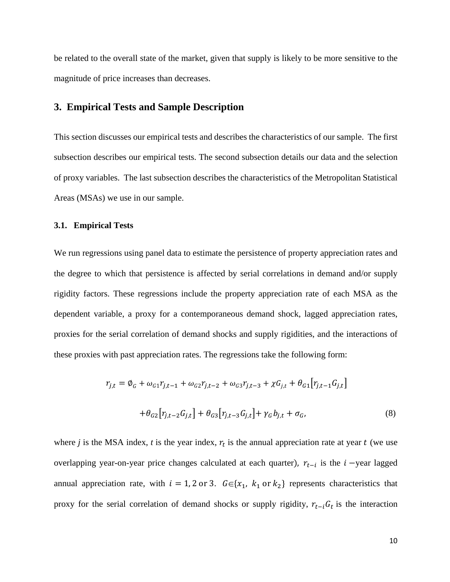be related to the overall state of the market, given that supply is likely to be more sensitive to the magnitude of price increases than decreases.

# **3. Empirical Tests and Sample Description**

This section discusses our empirical tests and describes the characteristics of our sample. The first subsection describes our empirical tests. The second subsection details our data and the selection of proxy variables. The last subsection describes the characteristics of the Metropolitan Statistical Areas (MSAs) we use in our sample.

#### **3.1. Empirical Tests**

We run regressions using panel data to estimate the persistence of property appreciation rates and the degree to which that persistence is affected by serial correlations in demand and/or supply rigidity factors. These regressions include the property appreciation rate of each MSA as the dependent variable, a proxy for a contemporaneous demand shock, lagged appreciation rates, proxies for the serial correlation of demand shocks and supply rigidities, and the interactions of these proxies with past appreciation rates. The regressions take the following form: 

$$
r_{j,t} = \phi_G + \omega_{G1} r_{j,t-1} + \omega_{G2} r_{j,t-2} + \omega_{G3} r_{j,t-3} + \chi G_{j,t} + \theta_{G1} [r_{j,t-1} G_{j,t}]
$$
  
+ 
$$
\theta_{G2} [r_{j,t-2} G_{j,t}] + \theta_{G3} [r_{j,t-3} G_{j,t}] + \gamma_G b_{j,t} + \sigma_G,
$$
 (8)

where *j* is the MSA index, *t* is the year index,  $r_t$  is the annual appreciation rate at year *t* (we use overlapping year-on-year price changes calculated at each quarter),  $r_{t-i}$  is the  $i$ -year lagged annual appreciation rate, with  $i = 1, 2$  or 3.  $G \in \{x_1, k_1 \text{ or } k_2\}$  represents characteristics that proxy for the serial correlation of demand shocks or supply rigidity,  $r_{t-i}G_t$  is the interaction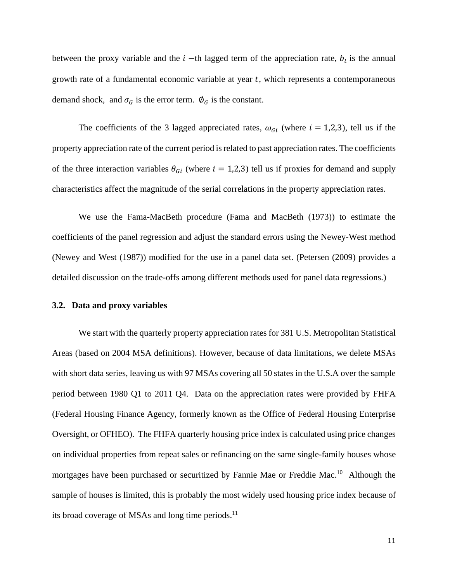between the proxy variable and the  $i$  -th lagged term of the appreciation rate,  $b_t$  is the annual growth rate of a fundamental economic variable at year  $t$ , which represents a contemporaneous demand shock, and  $\sigma_G$  is the error term.  $\varnothing_G$  is the constant.

The coefficients of the 3 lagged appreciated rates,  $\omega_{Gi}$  (where  $i = 1,2,3$ ), tell us if the property appreciation rate of the current period is related to past appreciation rates. The coefficients of the three interaction variables  $\theta_{Gi}$  (where  $i = 1,2,3$ ) tell us if proxies for demand and supply characteristics affect the magnitude of the serial correlations in the property appreciation rates.

We use the Fama-MacBeth procedure (Fama and MacBeth (1973)) to estimate the coefficients of the panel regression and adjust the standard errors using the Newey-West method (Newey and West (1987)) modified for the use in a panel data set. (Petersen (2009) provides a detailed discussion on the trade-offs among different methods used for panel data regressions.)

#### **3.2. Data and proxy variables**

We start with the quarterly property appreciation rates for 381 U.S. Metropolitan Statistical Areas (based on 2004 MSA definitions). However, because of data limitations, we delete MSAs with short data series, leaving us with 97 MSAs covering all 50 states in the U.S.A over the sample period between 1980 Q1 to 2011 Q4. Data on the appreciation rates were provided by FHFA (Federal Housing Finance Agency, formerly known as the Office of Federal Housing Enterprise Oversight, or OFHEO). The FHFA quarterly housing price index is calculated using price changes on individual properties from repeat sales or refinancing on the same single-family houses whose mortgages have been purchased or securitized by Fannie Mae or Freddie Mac.<sup>10</sup> Although the sample of houses is limited, this is probably the most widely used housing price index because of its broad coverage of MSAs and long time periods. $^{11}$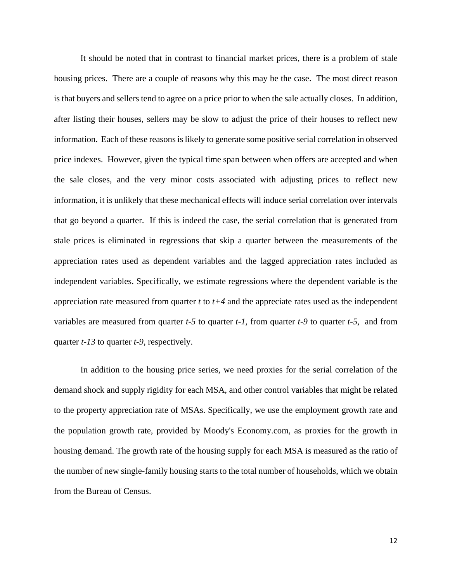It should be noted that in contrast to financial market prices, there is a problem of stale housing prices. There are a couple of reasons why this may be the case. The most direct reason is that buyers and sellers tend to agree on a price prior to when the sale actually closes. In addition, after listing their houses, sellers may be slow to adjust the price of their houses to reflect new information. Each of these reasons is likely to generate some positive serial correlation in observed price indexes. However, given the typical time span between when offers are accepted and when the sale closes, and the very minor costs associated with adjusting prices to reflect new information, it is unlikely that these mechanical effects will induce serial correlation over intervals that go beyond a quarter. If this is indeed the case, the serial correlation that is generated from stale prices is eliminated in regressions that skip a quarter between the measurements of the appreciation rates used as dependent variables and the lagged appreciation rates included as independent variables. Specifically, we estimate regressions where the dependent variable is the appreciation rate measured from quarter *t* to *t+4* and the appreciate rates used as the independent variables are measured from quarter *t-5* to quarter *t-1*, from quarter *t-9* to quarter *t-5*, and from quarter *t-13* to quarter *t-9*, respectively.

In addition to the housing price series, we need proxies for the serial correlation of the demand shock and supply rigidity for each MSA, and other control variables that might be related to the property appreciation rate of MSAs. Specifically, we use the employment growth rate and the population growth rate, provided by Moody's Economy.com, as proxies for the growth in housing demand. The growth rate of the housing supply for each MSA is measured as the ratio of the number of new single-family housing starts to the total number of households, which we obtain from the Bureau of Census.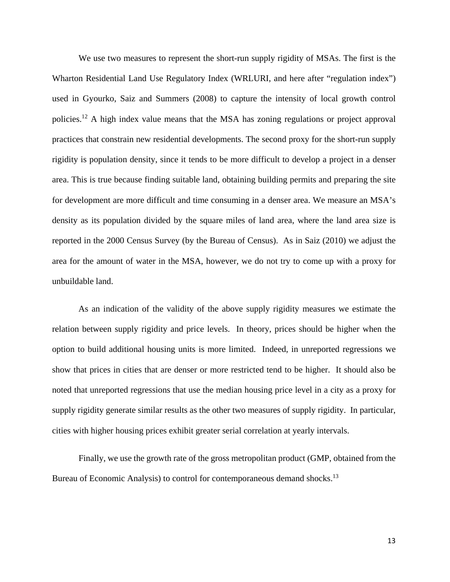We use two measures to represent the short-run supply rigidity of MSAs. The first is the Wharton Residential Land Use Regulatory Index (WRLURI, and here after "regulation index") used in Gyourko, Saiz and Summers (2008) to capture the intensity of local growth control policies.12 A high index value means that the MSA has zoning regulations or project approval practices that constrain new residential developments. The second proxy for the short-run supply rigidity is population density, since it tends to be more difficult to develop a project in a denser area. This is true because finding suitable land, obtaining building permits and preparing the site for development are more difficult and time consuming in a denser area. We measure an MSA's density as its population divided by the square miles of land area, where the land area size is reported in the 2000 Census Survey (by the Bureau of Census). As in Saiz (2010) we adjust the area for the amount of water in the MSA, however, we do not try to come up with a proxy for unbuildable land.

As an indication of the validity of the above supply rigidity measures we estimate the relation between supply rigidity and price levels. In theory, prices should be higher when the option to build additional housing units is more limited. Indeed, in unreported regressions we show that prices in cities that are denser or more restricted tend to be higher. It should also be noted that unreported regressions that use the median housing price level in a city as a proxy for supply rigidity generate similar results as the other two measures of supply rigidity. In particular, cities with higher housing prices exhibit greater serial correlation at yearly intervals.

Finally, we use the growth rate of the gross metropolitan product (GMP, obtained from the Bureau of Economic Analysis) to control for contemporaneous demand shocks.<sup>13</sup>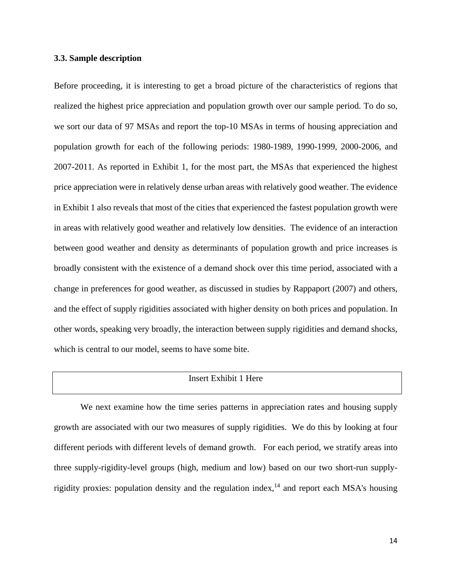#### **3.3. Sample description**

Before proceeding, it is interesting to get a broad picture of the characteristics of regions that realized the highest price appreciation and population growth over our sample period. To do so, we sort our data of 97 MSAs and report the top-10 MSAs in terms of housing appreciation and population growth for each of the following periods: 1980-1989, 1990-1999, 2000-2006, and 2007-2011. As reported in Exhibit 1, for the most part, the MSAs that experienced the highest price appreciation were in relatively dense urban areas with relatively good weather. The evidence in Exhibit 1 also reveals that most of the cities that experienced the fastest population growth were in areas with relatively good weather and relatively low densities. The evidence of an interaction between good weather and density as determinants of population growth and price increases is broadly consistent with the existence of a demand shock over this time period, associated with a change in preferences for good weather, as discussed in studies by Rappaport (2007) and others, and the effect of supply rigidities associated with higher density on both prices and population. In other words, speaking very broadly, the interaction between supply rigidities and demand shocks, which is central to our model, seems to have some bite.

# Insert Exhibit 1 Here

We next examine how the time series patterns in appreciation rates and housing supply growth are associated with our two measures of supply rigidities. We do this by looking at four different periods with different levels of demand growth. For each period, we stratify areas into three supply-rigidity-level groups (high, medium and low) based on our two short-run supplyrigidity proxies: population density and the regulation index,  $14$  and report each MSA's housing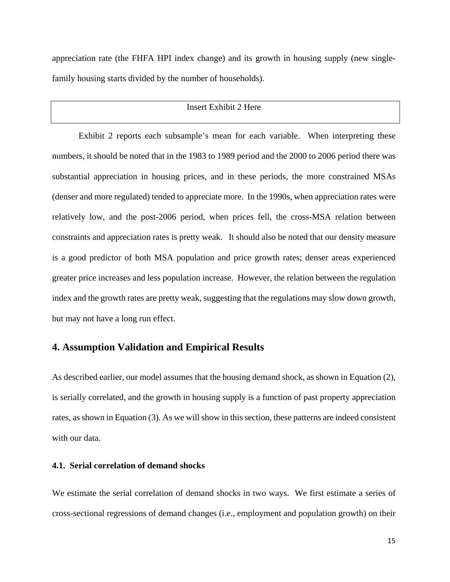appreciation rate (the FHFA HPI index change) and its growth in housing supply (new singlefamily housing starts divided by the number of households).

# Insert Exhibit 2 Here

Exhibit 2 reports each subsample's mean for each variable. When interpreting these numbers, it should be noted that in the 1983 to 1989 period and the 2000 to 2006 period there was substantial appreciation in housing prices, and in these periods, the more constrained MSAs (denser and more regulated) tended to appreciate more. In the 1990s, when appreciation rates were relatively low, and the post-2006 period, when prices fell, the cross-MSA relation between constraints and appreciation rates is pretty weak. It should also be noted that our density measure is a good predictor of both MSA population and price growth rates; denser areas experienced greater price increases and less population increase. However, the relation between the regulation index and the growth rates are pretty weak, suggesting that the regulations may slow down growth, but may not have a long run effect.

### **4. Assumption Validation and Empirical Results**

As described earlier, our model assumes that the housing demand shock, as shown in Equation (2), is serially correlated, and the growth in housing supply is a function of past property appreciation rates, as shown in Equation (3). As we will show in this section, these patterns are indeed consistent with our data.

#### **4.1. Serial correlation of demand shocks**

We estimate the serial correlation of demand shocks in two ways. We first estimate a series of cross-sectional regressions of demand changes (i.e., employment and population growth) on their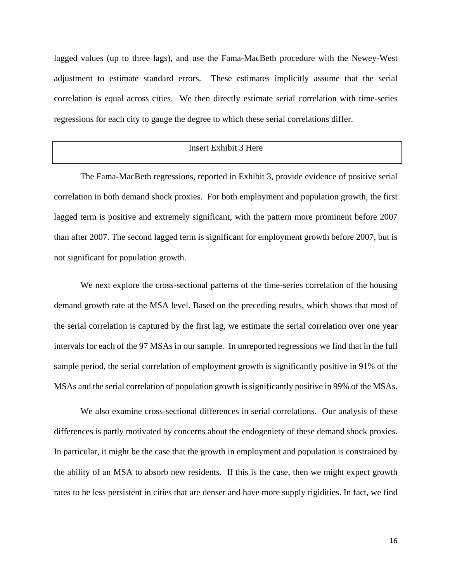lagged values (up to three lags), and use the Fama-MacBeth procedure with the Newey-West adjustment to estimate standard errors. These estimates implicitly assume that the serial correlation is equal across cities. We then directly estimate serial correlation with time-series regressions for each city to gauge the degree to which these serial correlations differ.

#### Insert Exhibit 3 Here

The Fama-MacBeth regressions, reported in Exhibit 3, provide evidence of positive serial correlation in both demand shock proxies. For both employment and population growth, the first lagged term is positive and extremely significant, with the pattern more prominent before 2007 than after 2007. The second lagged term is significant for employment growth before 2007, but is not significant for population growth.

We next explore the cross-sectional patterns of the time-series correlation of the housing demand growth rate at the MSA level. Based on the preceding results, which shows that most of the serial correlation is captured by the first lag, we estimate the serial correlation over one year intervals for each of the 97 MSAs in our sample. In unreported regressions we find that in the full sample period, the serial correlation of employment growth is significantly positive in 91% of the MSAs and the serial correlation of population growth is significantly positive in 99% of the MSAs.

We also examine cross-sectional differences in serial correlations. Our analysis of these differences is partly motivated by concerns about the endogeniety of these demand shock proxies. In particular, it might be the case that the growth in employment and population is constrained by the ability of an MSA to absorb new residents. If this is the case, then we might expect growth rates to be less persistent in cities that are denser and have more supply rigidities. In fact, we find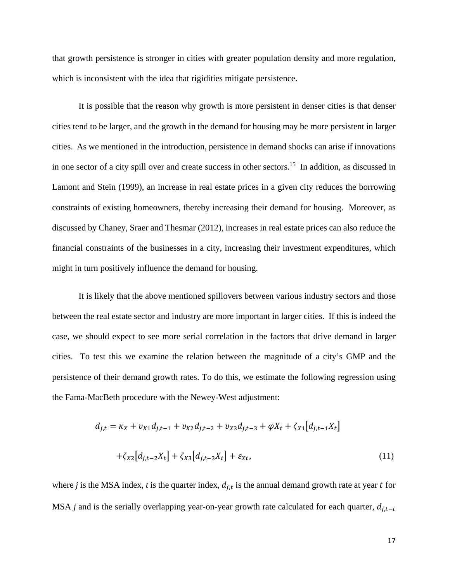that growth persistence is stronger in cities with greater population density and more regulation, which is inconsistent with the idea that rigidities mitigate persistence.

It is possible that the reason why growth is more persistent in denser cities is that denser cities tend to be larger, and the growth in the demand for housing may be more persistent in larger cities. As we mentioned in the introduction, persistence in demand shocks can arise if innovations in one sector of a city spill over and create success in other sectors.<sup>15</sup> In addition, as discussed in Lamont and Stein (1999), an increase in real estate prices in a given city reduces the borrowing constraints of existing homeowners, thereby increasing their demand for housing. Moreover, as discussed by Chaney, Sraer and Thesmar (2012), increases in real estate prices can also reduce the financial constraints of the businesses in a city, increasing their investment expenditures, which might in turn positively influence the demand for housing.

It is likely that the above mentioned spillovers between various industry sectors and those between the real estate sector and industry are more important in larger cities. If this is indeed the case, we should expect to see more serial correlation in the factors that drive demand in larger cities. To test this we examine the relation between the magnitude of a city's GMP and the persistence of their demand growth rates. To do this, we estimate the following regression using the Fama-MacBeth procedure with the Newey-West adjustment:

$$
d_{j,t} = \kappa_X + \nu_{X1} d_{j,t-1} + \nu_{X2} d_{j,t-2} + \nu_{X3} d_{j,t-3} + \varphi X_t + \zeta_{X1} [d_{j,t-1} X_t]
$$

$$
+ \zeta_{X2} [d_{j,t-2} X_t] + \zeta_{X3} [d_{j,t-3} X_t] + \varepsilon_{Xt}, \qquad (11)
$$

where *j* is the MSA index, *t* is the quarter index,  $d_{i,t}$  is the annual demand growth rate at year *t* for MSA *j* and is the serially overlapping year-on-year growth rate calculated for each quarter,  $d_{i,t-i}$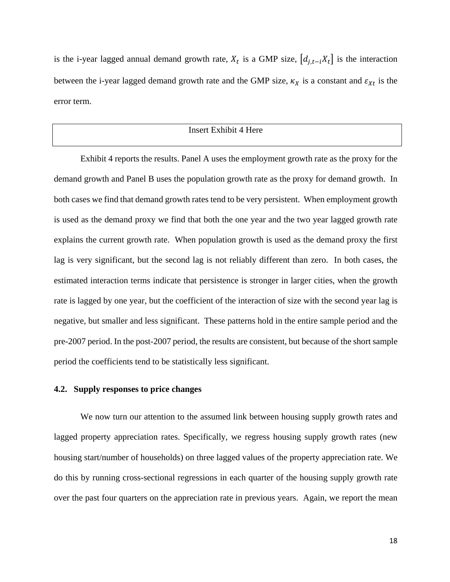is the i-year lagged annual demand growth rate,  $X_t$  is a GMP size,  $[d_{i,t-i}X_t]$  is the interaction between the i-year lagged demand growth rate and the GMP size,  $\kappa_X$  is a constant and  $\varepsilon_{Xt}$  is the error term.

# Insert Exhibit 4 Here

Exhibit 4 reports the results. Panel A uses the employment growth rate as the proxy for the demand growth and Panel B uses the population growth rate as the proxy for demand growth. In both cases we find that demand growth rates tend to be very persistent. When employment growth is used as the demand proxy we find that both the one year and the two year lagged growth rate explains the current growth rate. When population growth is used as the demand proxy the first lag is very significant, but the second lag is not reliably different than zero. In both cases, the estimated interaction terms indicate that persistence is stronger in larger cities, when the growth rate is lagged by one year, but the coefficient of the interaction of size with the second year lag is negative, but smaller and less significant. These patterns hold in the entire sample period and the pre-2007 period. In the post-2007 period, the results are consistent, but because of the short sample period the coefficients tend to be statistically less significant.

#### **4.2. Supply responses to price changes**

We now turn our attention to the assumed link between housing supply growth rates and lagged property appreciation rates. Specifically, we regress housing supply growth rates (new housing start/number of households) on three lagged values of the property appreciation rate. We do this by running cross-sectional regressions in each quarter of the housing supply growth rate over the past four quarters on the appreciation rate in previous years. Again, we report the mean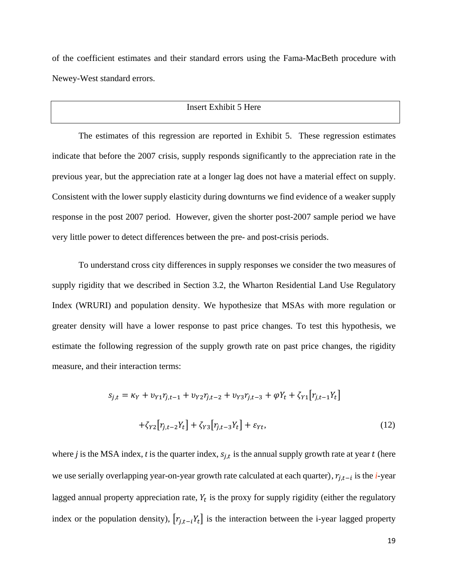of the coefficient estimates and their standard errors using the Fama-MacBeth procedure with Newey-West standard errors.

# Insert Exhibit 5 Here

The estimates of this regression are reported in Exhibit 5. These regression estimates indicate that before the 2007 crisis, supply responds significantly to the appreciation rate in the previous year, but the appreciation rate at a longer lag does not have a material effect on supply. Consistent with the lower supply elasticity during downturns we find evidence of a weaker supply response in the post 2007 period. However, given the shorter post-2007 sample period we have very little power to detect differences between the pre- and post-crisis periods.

To understand cross city differences in supply responses we consider the two measures of supply rigidity that we described in Section 3.2, the Wharton Residential Land Use Regulatory Index (WRURI) and population density. We hypothesize that MSAs with more regulation or greater density will have a lower response to past price changes. To test this hypothesis, we estimate the following regression of the supply growth rate on past price changes, the rigidity measure, and their interaction terms:

$$
s_{j,t} = \kappa_Y + v_{Y1}r_{j,t-1} + v_{Y2}r_{j,t-2} + v_{Y3}r_{j,t-3} + \varphi Y_t + \zeta_{Y1}[r_{j,t-1}Y_t]
$$

$$
+ \zeta_{Y2}[r_{j,t-2}Y_t] + \zeta_{Y3}[r_{j,t-3}Y_t] + \varepsilon_{Yt},
$$
(12)

where *j* is the MSA index, *t* is the quarter index,  $s_{i,t}$  is the annual supply growth rate at year *t* (here we use serially overlapping year-on-year growth rate calculated at each quarter),  $r_{i,t-i}$  is the *i*-year lagged annual property appreciation rate,  $Y_t$  is the proxy for supply rigidity (either the regulatory index or the population density),  $[r_{j,t-i}Y_t]$  is the interaction between the i-year lagged property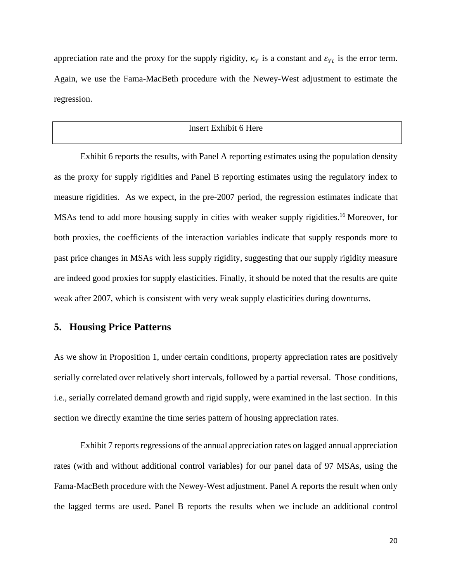appreciation rate and the proxy for the supply rigidity,  $\kappa<sub>y</sub>$  is a constant and  $\varepsilon<sub>yt</sub>$  is the error term. Again, we use the Fama-MacBeth procedure with the Newey-West adjustment to estimate the regression.

### Insert Exhibit 6 Here

Exhibit 6 reports the results, with Panel A reporting estimates using the population density as the proxy for supply rigidities and Panel B reporting estimates using the regulatory index to measure rigidities. As we expect, in the pre-2007 period, the regression estimates indicate that MSAs tend to add more housing supply in cities with weaker supply rigidities.<sup>16</sup> Moreover, for both proxies, the coefficients of the interaction variables indicate that supply responds more to past price changes in MSAs with less supply rigidity, suggesting that our supply rigidity measure are indeed good proxies for supply elasticities. Finally, it should be noted that the results are quite weak after 2007, which is consistent with very weak supply elasticities during downturns.

# **5. Housing Price Patterns**

As we show in Proposition 1, under certain conditions, property appreciation rates are positively serially correlated over relatively short intervals, followed by a partial reversal. Those conditions, i.e., serially correlated demand growth and rigid supply, were examined in the last section. In this section we directly examine the time series pattern of housing appreciation rates.

Exhibit 7 reports regressions of the annual appreciation rates on lagged annual appreciation rates (with and without additional control variables) for our panel data of 97 MSAs, using the Fama-MacBeth procedure with the Newey-West adjustment. Panel A reports the result when only the lagged terms are used. Panel B reports the results when we include an additional control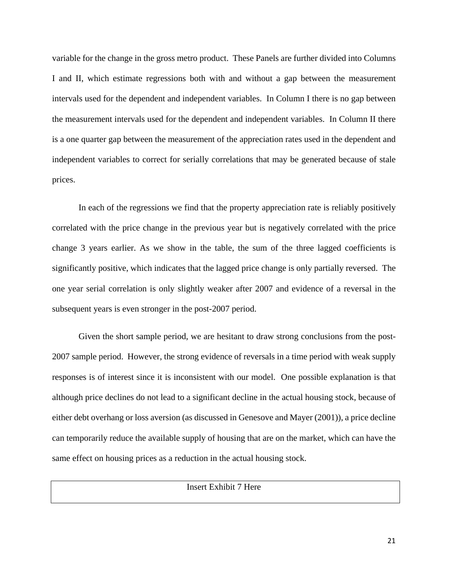variable for the change in the gross metro product. These Panels are further divided into Columns I and II, which estimate regressions both with and without a gap between the measurement intervals used for the dependent and independent variables. In Column I there is no gap between the measurement intervals used for the dependent and independent variables. In Column II there is a one quarter gap between the measurement of the appreciation rates used in the dependent and independent variables to correct for serially correlations that may be generated because of stale prices.

In each of the regressions we find that the property appreciation rate is reliably positively correlated with the price change in the previous year but is negatively correlated with the price change 3 years earlier. As we show in the table, the sum of the three lagged coefficients is significantly positive, which indicates that the lagged price change is only partially reversed. The one year serial correlation is only slightly weaker after 2007 and evidence of a reversal in the subsequent years is even stronger in the post-2007 period.

Given the short sample period, we are hesitant to draw strong conclusions from the post-2007 sample period. However, the strong evidence of reversals in a time period with weak supply responses is of interest since it is inconsistent with our model. One possible explanation is that although price declines do not lead to a significant decline in the actual housing stock, because of either debt overhang or loss aversion (as discussed in Genesove and Mayer (2001)), a price decline can temporarily reduce the available supply of housing that are on the market, which can have the same effect on housing prices as a reduction in the actual housing stock.

## Insert Exhibit 7 Here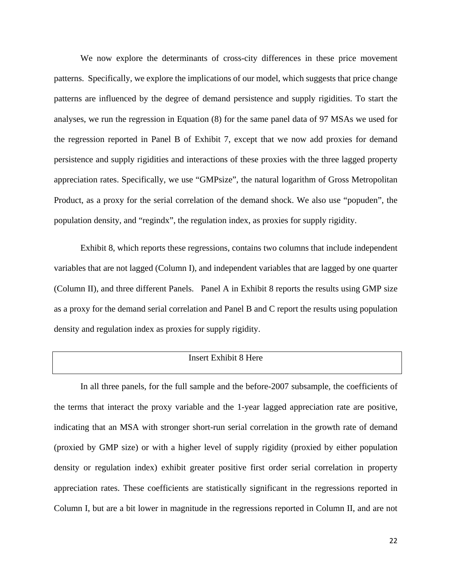We now explore the determinants of cross-city differences in these price movement patterns. Specifically, we explore the implications of our model, which suggests that price change patterns are influenced by the degree of demand persistence and supply rigidities. To start the analyses, we run the regression in Equation (8) for the same panel data of 97 MSAs we used for the regression reported in Panel B of Exhibit 7, except that we now add proxies for demand persistence and supply rigidities and interactions of these proxies with the three lagged property appreciation rates. Specifically, we use "GMPsize", the natural logarithm of Gross Metropolitan Product, as a proxy for the serial correlation of the demand shock. We also use "popuden", the population density, and "regindx", the regulation index, as proxies for supply rigidity.

Exhibit 8, which reports these regressions, contains two columns that include independent variables that are not lagged (Column I), and independent variables that are lagged by one quarter (Column II), and three different Panels. Panel A in Exhibit 8 reports the results using GMP size as a proxy for the demand serial correlation and Panel B and C report the results using population density and regulation index as proxies for supply rigidity.

# Insert Exhibit 8 Here

In all three panels, for the full sample and the before-2007 subsample, the coefficients of the terms that interact the proxy variable and the 1-year lagged appreciation rate are positive, indicating that an MSA with stronger short-run serial correlation in the growth rate of demand (proxied by GMP size) or with a higher level of supply rigidity (proxied by either population density or regulation index) exhibit greater positive first order serial correlation in property appreciation rates. These coefficients are statistically significant in the regressions reported in Column I, but are a bit lower in magnitude in the regressions reported in Column II, and are not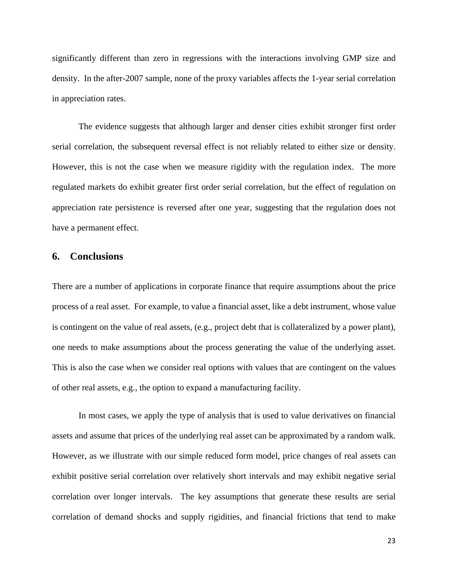significantly different than zero in regressions with the interactions involving GMP size and density. In the after-2007 sample, none of the proxy variables affects the 1-year serial correlation in appreciation rates.

The evidence suggests that although larger and denser cities exhibit stronger first order serial correlation, the subsequent reversal effect is not reliably related to either size or density. However, this is not the case when we measure rigidity with the regulation index. The more regulated markets do exhibit greater first order serial correlation, but the effect of regulation on appreciation rate persistence is reversed after one year, suggesting that the regulation does not have a permanent effect.

# **6. Conclusions**

There are a number of applications in corporate finance that require assumptions about the price process of a real asset. For example, to value a financial asset, like a debt instrument, whose value is contingent on the value of real assets, (e.g., project debt that is collateralized by a power plant), one needs to make assumptions about the process generating the value of the underlying asset. This is also the case when we consider real options with values that are contingent on the values of other real assets, e.g., the option to expand a manufacturing facility.

In most cases, we apply the type of analysis that is used to value derivatives on financial assets and assume that prices of the underlying real asset can be approximated by a random walk. However, as we illustrate with our simple reduced form model, price changes of real assets can exhibit positive serial correlation over relatively short intervals and may exhibit negative serial correlation over longer intervals. The key assumptions that generate these results are serial correlation of demand shocks and supply rigidities, and financial frictions that tend to make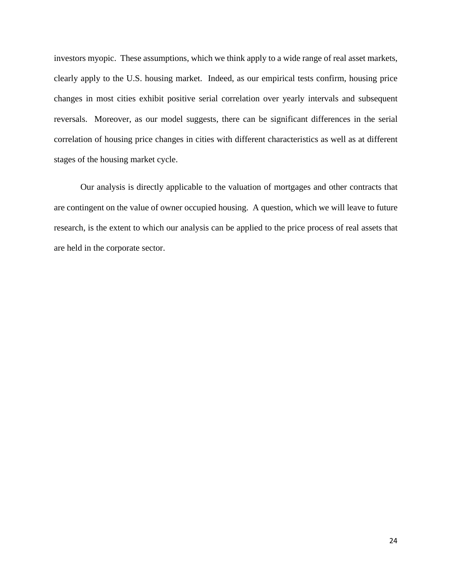investors myopic. These assumptions, which we think apply to a wide range of real asset markets, clearly apply to the U.S. housing market. Indeed, as our empirical tests confirm, housing price changes in most cities exhibit positive serial correlation over yearly intervals and subsequent reversals. Moreover, as our model suggests, there can be significant differences in the serial correlation of housing price changes in cities with different characteristics as well as at different stages of the housing market cycle.

Our analysis is directly applicable to the valuation of mortgages and other contracts that are contingent on the value of owner occupied housing. A question, which we will leave to future research, is the extent to which our analysis can be applied to the price process of real assets that are held in the corporate sector.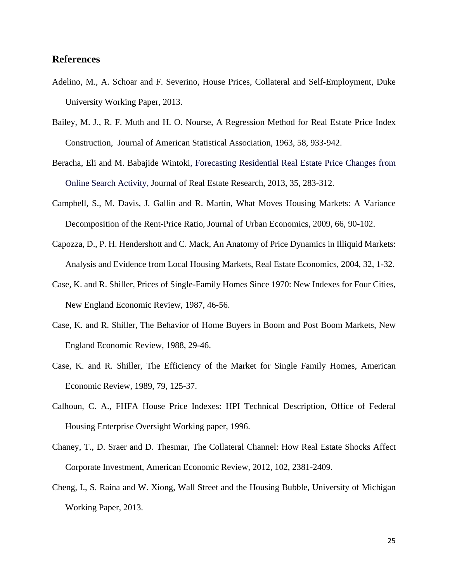# **References**

- Adelino, M., A. Schoar and F. Severino, House Prices, Collateral and Self-Employment, Duke University Working Paper, 2013.
- Bailey, M. J., R. F. Muth and H. O. Nourse, A Regression Method for Real Estate Price Index Construction, Journal of American Statistical Association, 1963, 58, 933-942.
- Beracha, Eli and M. Babajide Wintoki, Forecasting Residential Real Estate Price Changes from Online Search Activity, Journal of Real Estate Research, 2013, 35, 283-312.
- Campbell, S., M. Davis, J. Gallin and R. Martin, What Moves Housing Markets: A Variance Decomposition of the Rent-Price Ratio, Journal of Urban Economics, 2009, 66, 90-102.
- Capozza, D., P. H. Hendershott and C. Mack, An Anatomy of Price Dynamics in Illiquid Markets: Analysis and Evidence from Local Housing Markets, Real Estate Economics, 2004, 32, 1-32.
- Case, K. and R. Shiller, Prices of Single-Family Homes Since 1970: New Indexes for Four Cities, New England Economic Review, 1987, 46-56.
- Case, K. and R. Shiller, The Behavior of Home Buyers in Boom and Post Boom Markets, New England Economic Review, 1988, 29-46.
- Case, K. and R. Shiller, The Efficiency of the Market for Single Family Homes, American Economic Review, 1989, 79, 125-37.
- Calhoun, C. A., FHFA House Price Indexes: HPI Technical Description, Office of Federal Housing Enterprise Oversight Working paper, 1996.
- Chaney, T., D. Sraer and D. Thesmar, The Collateral Channel: How Real Estate Shocks Affect Corporate Investment, American Economic Review, 2012, 102, 2381-2409.
- Cheng, I., S. Raina and W. Xiong, Wall Street and the Housing Bubble, University of Michigan Working Paper, 2013.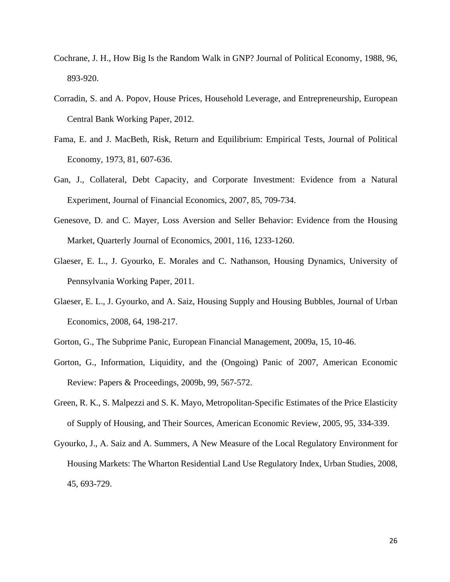- Cochrane, J. H., How Big Is the Random Walk in GNP? Journal of Political Economy, 1988, 96, 893-920.
- Corradin, S. and A. Popov, House Prices, Household Leverage, and Entrepreneurship, European Central Bank Working Paper, 2012.
- Fama, E. and J. MacBeth, Risk, Return and Equilibrium: Empirical Tests, Journal of Political Economy, 1973, 81, 607-636.
- Gan, J., Collateral, Debt Capacity, and Corporate Investment: Evidence from a Natural Experiment, Journal of Financial Economics, 2007, 85, 709-734.
- Genesove, D. and C. Mayer, Loss Aversion and Seller Behavior: Evidence from the Housing Market, Quarterly Journal of Economics, 2001, 116, 1233-1260.
- Glaeser, E. L., J. Gyourko, E. Morales and C. Nathanson, Housing Dynamics, University of Pennsylvania Working Paper, 2011.
- Glaeser, E. L., J. Gyourko, and A. Saiz, Housing Supply and Housing Bubbles, Journal of Urban Economics, 2008, 64, 198-217.
- Gorton, G., The Subprime Panic, European Financial Management, 2009a, 15, 10-46.
- Gorton, G., Information, Liquidity, and the (Ongoing) Panic of 2007, American Economic Review: Papers & Proceedings, 2009b, 99, 567-572.
- Green, R. K., S. Malpezzi and S. K. Mayo, Metropolitan-Specific Estimates of the Price Elasticity of Supply of Housing, and Their Sources, American Economic Review, 2005, 95, 334-339.
- Gyourko, J., A. Saiz and A. Summers, A New Measure of the Local Regulatory Environment for Housing Markets: The Wharton Residential Land Use Regulatory Index, Urban Studies, 2008, 45, 693-729.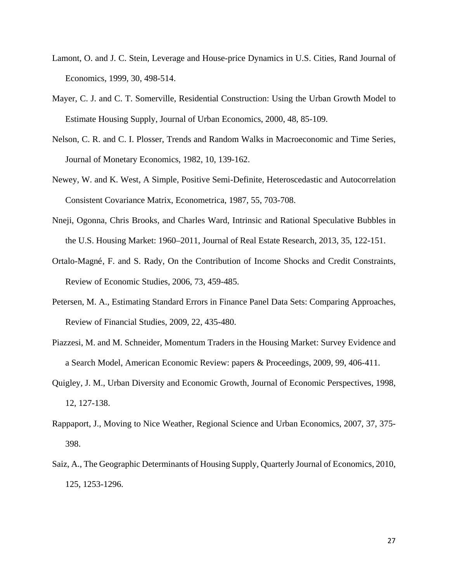- Lamont, O. and J. C. Stein, Leverage and House-price Dynamics in U.S. Cities, Rand Journal of Economics, 1999, 30, 498-514.
- Mayer, C. J. and C. T. Somerville, Residential Construction: Using the Urban Growth Model to Estimate Housing Supply, Journal of Urban Economics, 2000, 48, 85-109.
- Nelson, C. R. and C. I. Plosser, Trends and Random Walks in Macroeconomic and Time Series, Journal of Monetary Economics, 1982, 10, 139-162.
- Newey, W. and K. West, A Simple, Positive Semi-Definite, Heteroscedastic and Autocorrelation Consistent Covariance Matrix, Econometrica, 1987, 55, 703-708.
- Nneji, Ogonna, Chris Brooks, and Charles Ward, Intrinsic and Rational Speculative Bubbles in the U.S. Housing Market: 1960–2011, Journal of Real Estate Research, 2013, 35, 122-151.
- Ortalo-Magné, F. and S. Rady, On the Contribution of Income Shocks and Credit Constraints, Review of Economic Studies, 2006, 73, 459-485.
- Petersen, M. A., Estimating Standard Errors in Finance Panel Data Sets: Comparing Approaches, Review of Financial Studies, 2009, 22, 435-480.
- Piazzesi, M. and M. Schneider, Momentum Traders in the Housing Market: Survey Evidence and a Search Model, American Economic Review: papers & Proceedings, 2009, 99, 406-411.
- Quigley, J. M., Urban Diversity and Economic Growth, Journal of Economic Perspectives, 1998, 12, 127-138.
- Rappaport, J., Moving to Nice Weather, Regional Science and Urban Economics, 2007, 37, 375- 398.
- Saiz, A., The Geographic Determinants of Housing Supply, Quarterly Journal of Economics, 2010, 125, 1253-1296.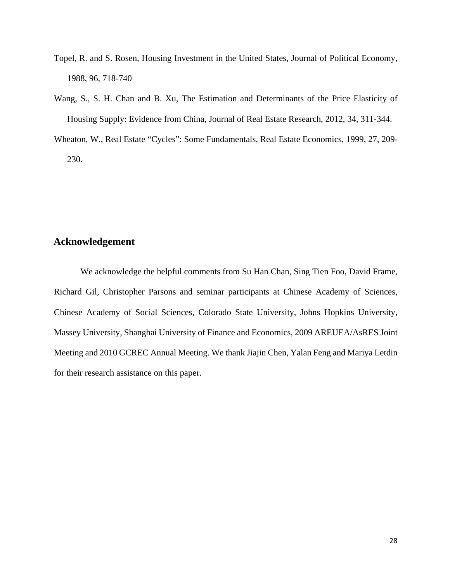- Topel, R. and S. Rosen, Housing Investment in the United States, Journal of Political Economy, 1988, 96, 718-740
- Wang, S., S. H. Chan and B. Xu, The Estimation and Determinants of the Price Elasticity of Housing Supply: Evidence from China, Journal of Real Estate Research, 2012, 34, 311-344.
- Wheaton, W., Real Estate "Cycles": Some Fundamentals, Real Estate Economics, 1999, 27, 209- 230.

# **Acknowledgement**

 We acknowledge the helpful comments from Su Han Chan, Sing Tien Foo, David Frame, Richard Gil, Christopher Parsons and seminar participants at Chinese Academy of Sciences, Chinese Academy of Social Sciences, Colorado State University, Johns Hopkins University, Massey University, Shanghai University of Finance and Economics, 2009 AREUEA/AsRES Joint Meeting and 2010 GCREC Annual Meeting. We thank Jiajin Chen, Yalan Feng and Mariya Letdin for their research assistance on this paper.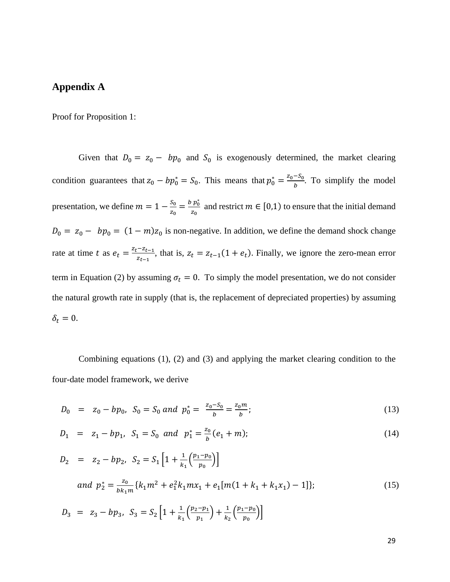# **Appendix A**

Proof for Proposition 1:

Given that  $D_0 = z_0 - bp_0$  and  $S_0$  is exogenously determined, the market clearing condition guarantees that  $z_0 - bp_0^* = S_0$ . This means that  $p_0^* = \frac{z_0 - S_0}{b}$ . To simplify the model presentation, we define  $m = 1 - \frac{S_0}{z_0} = \frac{b p_0^*}{z_0}$  $\frac{p_0}{z_0}$  and restrict  $m \in [0,1)$  to ensure that the initial demand  $D_0 = z_0 - bp_0 = (1 - m)z_0$  is non-negative. In addition, we define the demand shock change rate at time t as  $e_t = \frac{z_t - z_{t-1}}{z_{t-1}}$ , that is,  $z_t = z_{t-1}(1 + e_t)$ . Finally, we ignore the zero-mean error term in Equation (2) by assuming  $\sigma_t = 0$ . To simply the model presentation, we do not consider the natural growth rate in supply (that is, the replacement of depreciated properties) by assuming  $\delta_t = 0.$ 

Combining equations (1), (2) and (3) and applying the market clearing condition to the four-date model framework, we derive

$$
D_0 = z_0 - bp_0, S_0 = S_0 \text{ and } p_0^* = \frac{z_0 - S_0}{b} = \frac{z_0 m}{b};
$$
\n(13)

$$
D_1 = z_1 - bp_1, S_1 = S_0 \text{ and } p_1^* = \frac{z_0}{b}(e_1 + m); \tag{14}
$$

$$
D_2 = z_2 - bp_2, S_2 = S_1 \left[ 1 + \frac{1}{k_1} \left( \frac{p_1 - p_0}{p_0} \right) \right]
$$
  
\nand  $p_2^* = \frac{z_0}{bk_1 m} \{ k_1 m^2 + e_1^2 k_1 m x_1 + e_1 [m(1 + k_1 + k_1 x_1) - 1] \};$  (15)  
\n
$$
D_3 = z_3 - bp_3, S_3 = S_2 \left[ 1 + \frac{1}{k_1} \left( \frac{p_2 - p_1}{p_1} \right) + \frac{1}{k_2} \left( \frac{p_1 - p_0}{p_0} \right) \right]
$$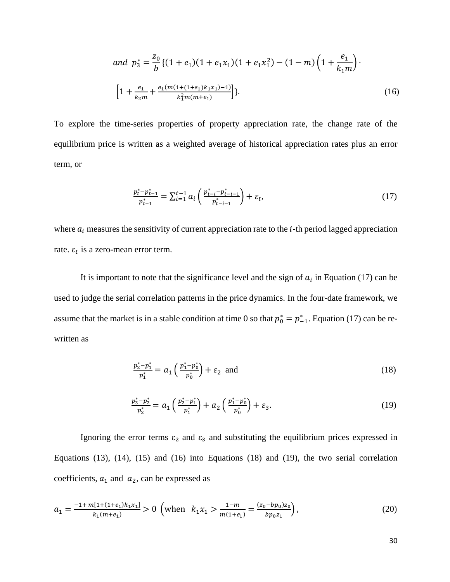and 
$$
p_3^* = \frac{z_0}{b} \{ (1 + e_1)(1 + e_1x_1)(1 + e_1x_1^2) - (1 - m) \left( 1 + \frac{e_1}{k_1m} \right) \cdot \left[ 1 + \frac{e_1}{k_2m} + \frac{e_1(m(1 + (1 + e_1)k_1x_1) - 1)}{k_1^2m(m + e_1)} \right] \}.
$$
 (16)

To explore the time-series properties of property appreciation rate, the change rate of the equilibrium price is written as a weighted average of historical appreciation rates plus an error term, or

$$
\frac{p_{t}^{*} - p_{t-1}^{*}}{p_{t-1}^{*}} = \sum_{i=1}^{t-1} a_{i} \left( \frac{p_{t-i}^{*} - p_{t-i-1}^{*}}{p_{t-i-1}^{*}} \right) + \varepsilon_{t},
$$
\n(17)

where  $a_i$  measures the sensitivity of current appreciation rate to the *i*-th period lagged appreciation rate.  $\varepsilon_t$  is a zero-mean error term.

It is important to note that the significance level and the sign of  $a_i$  in Equation (17) can be used to judge the serial correlation patterns in the price dynamics. In the four-date framework, we assume that the market is in a stable condition at time 0 so that  $p_0^* = p_{-1}^*$ . Equation (17) can be rewritten as

$$
\frac{p_2^*-p_1^*}{p_1^*} = a_1 \left(\frac{p_1^*-p_0^*}{p_0^*}\right) + \varepsilon_2 \text{ and } \qquad (18)
$$

$$
\frac{p_3^*-p_2^*}{p_2^*} = a_1 \left(\frac{p_2^*-p_1^*}{p_1^*}\right) + a_2 \left(\frac{p_1^*-p_0^*}{p_0^*}\right) + \varepsilon_3. \tag{19}
$$

Ignoring the error terms  $\varepsilon_2$  and  $\varepsilon_3$  and substituting the equilibrium prices expressed in Equations (13), (14), (15) and (16) into Equations (18) and (19), the two serial correlation coefficients,  $a_1$  and  $a_2$ , can be expressed as

$$
a_1 = \frac{-1 + m[1 + (1 + e_1)k_1x_1]}{k_1(m + e_1)} > 0 \quad \text{(when} \quad k_1x_1 > \frac{1 - m}{m(1 + e_1)} = \frac{(z_0 - bp_0)z_0}{bp_0z_1},\tag{20}
$$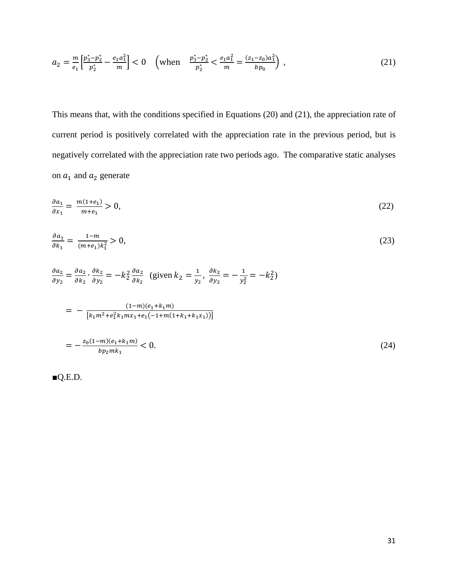$$
a_2 = \frac{m}{e_1} \left[ \frac{p_3^* - p_2^*}{p_2^*} - \frac{e_1 a_1^2}{m} \right] < 0 \quad \left( \text{when} \quad \frac{p_3^* - p_2^*}{p_2^*} < \frac{e_1 a_1^2}{m} = \frac{(z_1 - z_0) a_1^2}{bp_0} \right) \tag{21}
$$

This means that, with the conditions specified in Equations (20) and (21), the appreciation rate of current period is positively correlated with the appreciation rate in the previous period, but is negatively correlated with the appreciation rate two periods ago. The comparative static analyses on  $a_1$  and  $a_2$  generate

$$
\frac{\partial a_1}{\partial x_1} = \frac{m(1+e_1)}{m+e_1} > 0,\tag{22}
$$

$$
\frac{\partial a_1}{\partial k_1} = \frac{1 - m}{(m + e_1)k_1^2} > 0,\tag{23}
$$

$$
\frac{\partial a_2}{\partial y_2} = \frac{\partial a_2}{\partial k_2} \cdot \frac{\partial k_2}{\partial y_2} = -k_2^2 \frac{\partial a_2}{\partial k_2} \text{ (given } k_2 = \frac{1}{y_2}, \frac{\partial k_2}{\partial y_2} = -\frac{1}{y_2^2} = -k_2^2)
$$

$$
= -\frac{(1-m)(e_1 + k_1m)}{[k_1m^2 + e_1^2k_1mx_1 + e_1(-1+m(1+k_1+k_1x_1))]}
$$
  

$$
= -\frac{z_0(1-m)(e_1 + k_1m)}{bp_2mk_1} < 0.
$$
 (24)

 $\blacksquare$ Q.E.D.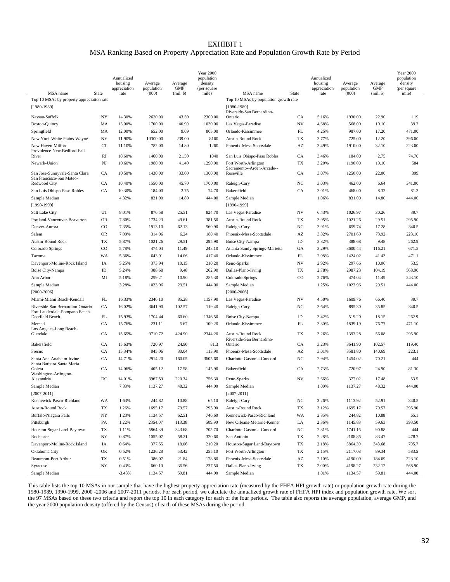#### EXHIBIT 1 MSA Ranking Based on Property Appreciation Rate and Population Growth Rate by Period

|                                                            |             | Annualized<br>housing<br>appreciation | Average<br>population | Average<br><b>GMP</b> | <b>Year 2000</b><br>population<br>density<br>(per square |                                                      |                          | Annualized<br>housing<br>appreciation | Average<br>population | Average<br><b>GMP</b> | <b>Year 2000</b><br>population<br>density<br>(per square |
|------------------------------------------------------------|-------------|---------------------------------------|-----------------------|-----------------------|----------------------------------------------------------|------------------------------------------------------|--------------------------|---------------------------------------|-----------------------|-----------------------|----------------------------------------------------------|
| MSA name                                                   | State       | rate                                  | (000)                 | $(mil.$ \$)           | mile)                                                    | MSA name                                             | <b>State</b>             | rate                                  | (000)                 | $(mil.$ $\})$         | mile)                                                    |
| Top 10 MSAs by property appreciation rate<br>$[1980-1989]$ |             |                                       |                       |                       |                                                          | Top 10 MSAs by population growth rate<br>[1980-1989] |                          |                                       |                       |                       |                                                          |
| Nassau-Suffolk                                             | NY          | 14.30%                                | 2620.00               | 43.50                 | 2300.00                                                  | Riverside-San Bernardino-<br>Ontario                 | CA                       | 5.16%                                 | 1930.00               | 22.90                 | 119                                                      |
| <b>Boston-Quincy</b>                                       | MA          | 13.00%                                | 1700.00               | 40.90                 | 1030.00                                                  | Las Vegas-Paradise                                   | <b>NV</b>                | 4.68%                                 | 568.00                | 10.10                 | 39.7                                                     |
| Springfield                                                | MA          | 12.00%                                | 652.00                | 9.69                  | 805.00                                                   | Orlando-Kissimmee                                    | FL                       | 4.25%                                 | 987.00                | 17.20                 | 471.00                                                   |
| New York-White Plains-Wayne                                | NY          | 11.90%                                | 10300.00              | 239.00                | 8160                                                     | <b>Austin-Round Rock</b>                             | TX                       | 3.77%                                 | 725.00                | 12.20                 | 296.00                                                   |
| New Haven-Milford<br>Providence-New Bedford-Fall           | <b>CT</b>   | 11.10%                                | 782.00                | 14.80                 | 1260                                                     | Phoenix-Mesa-Scottsdale                              | AZ                       | 3.49%                                 | 1910.00               | 32.10                 | 223.00                                                   |
| River                                                      | RI          | 10.60%                                | 1460.00               | 21.50                 | 1040                                                     | San Luis Obispo-Paso Robles                          | CA                       | 3.46%                                 | 184.00                | 2.75                  | 74.70                                                    |
| Newark-Union                                               | $_{\rm NJ}$ | 10.60%                                | 1980.00               | 41.40                 | 1290.00                                                  | Fort Worth-Arlington<br>Sacramento--Arden-Arcade--   | TX                       | 3.20%                                 | 1190.00               | 19.10                 | 584                                                      |
| San Jose-Sunnyvale-Santa Clara<br>San Francisco-San Mateo- | CA          | 10.50%                                | 1430.00               | 33.60                 | 1300.00                                                  | Roseville                                            | CA                       | 3.07%                                 | 1250.00               | 22.00                 | 399                                                      |
| Redwood City                                               | CA          | 10.40%                                | 1550.00               | 45.70                 | 1700.00                                                  | Raleigh-Cary                                         | NC                       | 3.03%                                 | 462.00                | 6.64                  | 341.00                                                   |
| San Luis Obispo-Paso Robles                                | CA          | 10.30%                                | 184.00                | 2.75                  | 74.70                                                    | Bakersfield                                          | CA                       | 3.01%                                 | 468.00                | 8.32                  | 81.3                                                     |
| Sample Median                                              |             | 4.32%                                 | 831.00                | 14.80                 | 444.00                                                   | Sample Median                                        |                          | 1.06%                                 | 831.00                | 14.80                 | 444.00                                                   |
| $[1990-1999]$                                              |             |                                       |                       |                       |                                                          | $[1990-1999]$                                        |                          |                                       |                       |                       |                                                          |
| Salt Lake City                                             | UT          | 8.01%                                 | 876.58                | 25.51                 | 824.70                                                   | Las Vegas-Paradise                                   | NV                       | 6.43%                                 | 1026.97               | 30.26                 | 39.7                                                     |
| Portland-Vancouver-Beaverton                               | <b>OR</b>   | 7.80%                                 | 1734.23               | 49.61                 | 381.50                                                   | <b>Austin-Round Rock</b>                             | TX                       | 3.95%                                 | 1021.26               | 29.51                 | 295.90                                                   |
| Denver-Aurora                                              | CO          | 7.35%                                 | 1913.10               | 62.13                 | 560.90                                                   | Raleigh-Cary                                         | NC                       | 3.91%                                 | 659.74                | 17.28                 | 340.5                                                    |
| Salem                                                      | <b>OR</b>   | 7.09%                                 | 314.06                | 6.24                  | 180.40                                                   | Phoenix-Mesa-Scottsdale                              | AZ                       | 3.82%                                 | 2701.69               | 73.92                 | 223.10                                                   |
| <b>Austin-Round Rock</b>                                   | <b>TX</b>   | 5.87%                                 | 1021.26               | 29.51                 | 295.90                                                   | Boise City-Nampa                                     | ID                       | 3.82%                                 | 388.68                | 9.48                  | 262.9                                                    |
| Colorado Springs                                           | $_{\rm CO}$ | 5.78%                                 | 474.04                | 11.49                 | 243.10                                                   | Atlanta-Sandy Springs-Marietta                       | GA                       | 3.29%                                 | 3600.44               | 116.21                | 671.5                                                    |
| Tacoma                                                     | WA          | 5.36%                                 | 643.91                | 14.06                 | 417.40                                                   | Orlando-Kissimmee                                    | FL                       | 2.98%                                 | 1424.02               | 41.43                 | 471.1                                                    |
| Davenport-Moline-Rock Island                               | IA          | 5.25%                                 | 373.94                | 10.15                 | 210.20                                                   | Reno-Sparks                                          | <b>NV</b>                | 2.92%                                 | 297.66                | 10.06                 | 53.5                                                     |
| <b>Boise City-Nampa</b>                                    | ID          | 5.24%                                 | 388.68                | 9.48                  | 262.90                                                   | Dallas-Plano-Irving                                  | TX                       | 2.78%                                 | 2987.23               | 104.19                | 568.90                                                   |
| Ann Arbor                                                  | MI          | 5.18%                                 | 299.21                | 10.90                 | 285.30                                                   | Colorado Springs                                     | $_{\rm CO}$              | 2.76%                                 | 474.04                | 11.49                 | 243.10                                                   |
| Sample Median<br>$[2000 - 2006]$                           |             | 3.28%                                 | 1023.96               | 29.51                 | 444.00                                                   | Sample Median<br>$[2000 - 2006]$                     |                          | 1.25%                                 | 1023.96               | 29.51                 | 444.00                                                   |
| Miami-Miami Beach-Kendall                                  | FL          | 16.33%                                | 2346.10               | 85.28                 | 1157.90                                                  | Las Vegas-Paradise                                   | <b>NV</b>                | 4.50%                                 | 1609.76               | 66.40                 | 39.7                                                     |
| Riverside-San Bernardino-Ontario                           | CA          | 16.02%                                | 3641.90               | 102.57                | 119.40                                                   | Raleigh-Cary                                         | NC                       | 3.64%                                 | 895.30                | 35.85                 | 340.5                                                    |
| Fort Lauderdale-Pompano Beach-<br>Deerfield Beach          | FL          | 15.93%                                | 1704.44               | 60.60                 | 1346.50                                                  | Boise City-Nampa                                     | ID                       | 3.42%                                 | 519.20                | 18.15                 | 262.9                                                    |
| Merced                                                     | CA          | 15.76%                                | 231.11                | 5.67                  | 109.20                                                   | Orlando-Kissimmee                                    | FL                       | 3.30%                                 | 1839.19               | 76.77                 | 471.10                                                   |
| Los Angeles-Long Beach-<br>Glendale                        | CA          | 15.65%                                | 9710.72               | 424.90                | 2344.20                                                  | Austin-Round Rock                                    | TX                       | 3.26%                                 | 1393.28               | 56.08                 | 295.90                                                   |
|                                                            |             |                                       |                       |                       |                                                          | Riverside-San Bernardino-                            |                          |                                       |                       |                       |                                                          |
| Bakersfield                                                | CA          | 15.63%                                | 720.97                | 24.90                 | 81.3                                                     | Ontario                                              | CA                       | 3.23%                                 | 3641.90               | 102.57                | 119.40                                                   |
| Fresno                                                     | CA          | 15.34%                                | 845.06                | 30.04                 | 113.90                                                   | Phoenix-Mesa-Scottsdale                              | $\mathbf{A}\mathbf{Z}$   | 3.01%                                 | 3581.80               | 140.69                | 223.1                                                    |
| Santa Ana-Anaheim-Irvine<br>Santa Barbara-Santa Maria-     | CA          | 14.71%                                | 2914.20               | 160.05                | 3605.60                                                  | Charlotte-Gastonia-Concord                           | NC                       | 2.94%                                 | 1454.02               | 70.21                 | 444                                                      |
| Goleta<br>Washington-Arlington-                            | CA          | 14.06%                                | 405.12                | 17.58                 | 145.90                                                   | Bakersfield                                          | CA<br>$_{\mathrm{NV}}$   | 2.73%                                 | 720.97                | 24.90                 | 81.30                                                    |
| Alexandria                                                 | DC          | 14.01%                                | 3967.59               | 220.34                | 756.30                                                   | Reno-Sparks                                          |                          | 2.66%                                 | 377.02                | 17.48                 | 53.5                                                     |
| Sample Median<br>$[2007 - 2011]$                           |             | 7.33%                                 | 1137.27               | 48.32                 | 444.00                                                   | Sample Median<br>$[2007 - 2011]$                     |                          | 1.00%                                 | 1137.27               | 48.32                 | 444.00                                                   |
| Kennewick-Pasco-Richland                                   | WA          | 1.63%                                 | 244.82                | 10.88                 | 65.10                                                    | Raleigh-Cary                                         | $_{\mathrm{NC}}$         | 3.26%                                 | 1113.92               | 52.91                 | 340.5                                                    |
| Austin-Round Rock                                          | TX          | 1.26%                                 | 1695.17               | 79.57                 | 295.90                                                   | Austin-Round Rock                                    | $\mathcal{T}\mathcal{X}$ | 3.12%                                 | 1695.17               | 79.57                 | 295.90                                                   |
| Buffalo-Niagara Falls                                      | NY          | 1.23%                                 | 1134.57               | 62.51                 | 746.60                                                   | Kennewick-Pasco-Richland                             | WA                       | 2.85%                                 | 244.82                | 10.88                 | 65.1                                                     |
| Pittsburgh                                                 | PA          | 1.22%                                 | 2354.07               | 113.38                | 509.90                                                   | New Orleans-Metairie-Kenner                          | LA                       | 2.36%                                 | 1145.83               | 59.63                 | 393.50                                                   |
| Houston-Sugar Land-Baytown                                 | TX          | 1.11%                                 | 5864.39               | 343.68                | 705.70                                                   | Charlotte-Gastonia-Concord                           | $_{\mathrm{NC}}$         | 2.31%                                 | 1741.16               | 90.88                 | 444                                                      |
| Rochester                                                  | NY          | 0.87%                                 | 1055.07               | 58.21                 | 320.60                                                   | San Antonio                                          | ${\rm TX}$               | 2.28%                                 | 2108.85               | 83.47                 | 478.7                                                    |
| Davenport-Moline-Rock Island                               | IA          | 0.64%                                 | 377.55                | 18.06                 | 210.20                                                   | Houston-Sugar Land-Baytown                           | $\mathcal{T}\mathcal{X}$ | 2.18%                                 | 5864.39               | 343.68                | 705.7                                                    |
| Oklahoma City                                              | OK          | 0.52%                                 | 1236.28               | 53.42                 | 255.10                                                   | Fort Worth-Arlington                                 | TX                       | 2.15%                                 | 2117.08               | 89.34                 | 583.5                                                    |
| Beaumont-Port Arthur                                       | TX          | 0.51%                                 | 386.07                | 21.84                 | 178.80                                                   | Phoenix-Mesa-Scottsdale                              | $\mathbf{A}\mathbf{Z}$   | 2.10%                                 | 4190.09               | 184.69                | 223.10                                                   |
| Syracuse                                                   | NY          | 0.43%                                 | 660.10                | 36.56                 | 237.50                                                   | Dallas-Plano-Irving                                  | TX                       | 2.00%                                 | 4198.27               | 232.12                | 568.90                                                   |
| Sample Median                                              |             | $-3.43%$                              | 1134.57               | 59.81                 | 444.00                                                   | Sample Median                                        |                          | 1.01%                                 | 1134.57               | 59.81                 | 444.00                                                   |

This table lists the top 10 MSAs in our sample that have the highest property appreciation rate (measured by the FHFA HPI growth rate) or population growth rate during the 1980-1989, 1990-1999, 2000 -2006 and 2007-2011 periods. For each period, we calculate the annualized growth rate of FHFA HPI index and population growth rate. We sort the 97 MSAs based on these two criteria and report the top 10 in each category for each of the four periods. The table also reports the average population, average GMP, and the year 2000 population density (offered by the Census) of each of these MSAs during the period.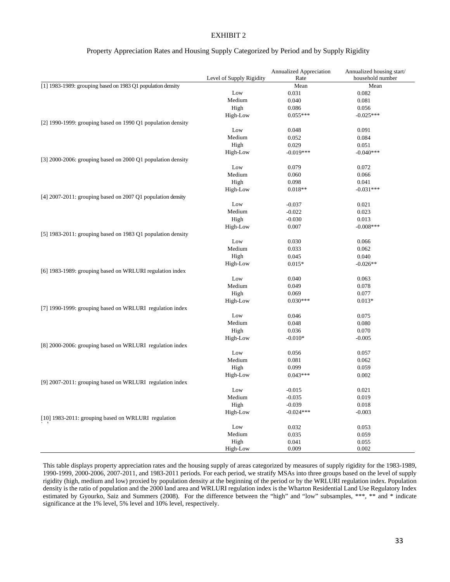#### EXHIBIT 2

#### Property Appreciation Rates and Housing Supply Categorized by Period and by Supply Rigidity

|                                                                  | Level of Supply Rigidity | <b>Annualized Appreciation</b><br>Rate | Annualized housing start/<br>household number |
|------------------------------------------------------------------|--------------------------|----------------------------------------|-----------------------------------------------|
| [1] 1983-1989: grouping based on 1983 Q1 population density      |                          | Mean                                   | Mean                                          |
|                                                                  | Low                      | 0.031                                  | 0.082                                         |
|                                                                  | Medium                   | 0.040                                  | 0.081                                         |
|                                                                  | High                     | 0.086                                  | 0.056                                         |
|                                                                  | High-Low                 | $0.055***$                             | $-0.025***$                                   |
| [2] 1990-1999: grouping based on 1990 Q1 population density      |                          |                                        |                                               |
|                                                                  | Low                      | 0.048                                  | 0.091                                         |
|                                                                  | Medium                   | 0.052                                  | 0.084                                         |
|                                                                  | High                     | 0.029                                  | 0.051                                         |
|                                                                  | High-Low                 | $-0.019***$                            | $-0.040***$                                   |
| [3] 2000-2006: grouping based on 2000 Q1 population density      |                          |                                        |                                               |
|                                                                  | Low                      | 0.079                                  | 0.072                                         |
|                                                                  | Medium                   | 0.060                                  | 0.066                                         |
|                                                                  | High                     | 0.098                                  | 0.041                                         |
|                                                                  | High-Low                 | $0.018**$                              | $-0.031***$                                   |
| [4] $2007-2011$ : grouping based on $2007$ Q1 population density |                          |                                        |                                               |
|                                                                  | Low                      | $-0.037$                               | 0.021                                         |
|                                                                  | Medium                   | $-0.022$                               | 0.023                                         |
|                                                                  | High                     | $-0.030$                               | 0.013                                         |
|                                                                  | High-Low                 | 0.007                                  | $-0.008***$                                   |
| [5] 1983-2011: grouping based on 1983 Q1 population density      |                          |                                        |                                               |
|                                                                  | Low                      | 0.030                                  | 0.066                                         |
|                                                                  | Medium                   | 0.033                                  | 0.062                                         |
|                                                                  | High                     | 0.045                                  | 0.040                                         |
|                                                                  | High-Low                 | $0.015*$                               | $-0.026**$                                    |
| [6] 1983-1989: grouping based on WRLURI regulation index         |                          |                                        |                                               |
|                                                                  | Low                      | 0.040                                  | 0.063                                         |
|                                                                  | Medium                   | 0.049                                  | 0.078                                         |
|                                                                  | High                     | 0.069                                  | 0.077                                         |
|                                                                  | High-Low                 | $0.030***$                             | $0.013*$                                      |
| [7] 1990-1999: grouping based on WRLURI regulation index         |                          |                                        |                                               |
|                                                                  | Low                      | 0.046                                  | 0.075                                         |
|                                                                  | Medium                   | 0.048                                  | 0.080                                         |
|                                                                  | High                     | 0.036                                  | 0.070                                         |
|                                                                  | High-Low                 | $-0.010*$                              | $-0.005$                                      |
| [8] 2000-2006: grouping based on WRLURI regulation index         |                          |                                        |                                               |
|                                                                  | Low                      | 0.056                                  | 0.057                                         |
|                                                                  | Medium                   | 0.081                                  | 0.062                                         |
|                                                                  | High                     | 0.099                                  | 0.059                                         |
|                                                                  | High-Low                 | $0.043***$                             | 0.002                                         |
| [9] 2007-2011: grouping based on WRLURI regulation index         |                          |                                        |                                               |
|                                                                  | Low                      | $-0.015$                               | 0.021                                         |
|                                                                  |                          | $-0.035$                               | 0.019                                         |
|                                                                  | Medium<br>High           | $-0.039$                               | 0.018                                         |
|                                                                  | High-Low                 | $-0.024***$                            | $-0.003$                                      |
| [10] 1983-2011: grouping based on WRLURI regulation              |                          |                                        |                                               |
|                                                                  | Low                      | 0.032                                  | 0.053                                         |
|                                                                  | Medium                   | 0.035                                  | 0.059                                         |
|                                                                  | High                     | 0.041                                  | 0.055                                         |
|                                                                  | High-Low                 | 0.009                                  | 0.002                                         |

This table displays property appreciation rates and the housing supply of areas categorized by measures of supply rigidity for the 1983-1989, 1990-1999, 2000-2006, 2007-2011, and 1983-2011 periods. For each period, we stratify MSAs into three groups based on the level of supply rigidity (high, medium and low) proxied by population density at the beginning of the period or by the WRLURI regulation index. Population density is the ratio of population and the 2000 land area and WRLURI regulation index is the Wharton Residential Land Use Regulatory Index estimated by Gyourko, Saiz and Summers (2008). For the difference between the "high" and "low" subsamples, \*\*\*, \*\* and \* indicate significance at the 1% level, 5% level and 10% level, respectively.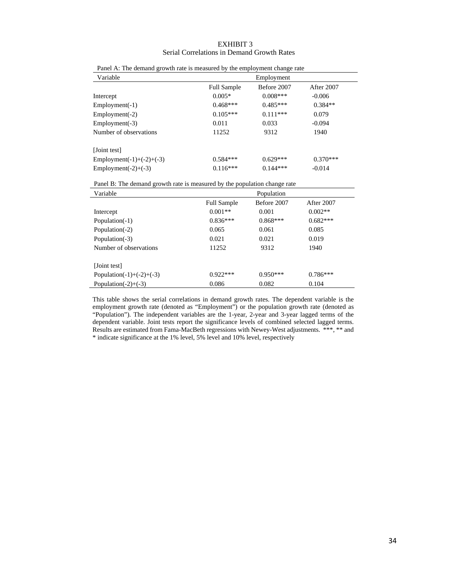#### EXHIBIT 3 Serial Correlations in Demand Growth Rates

| I and A. The demand growth rate is measured by the employment change rate |                    |             |            |
|---------------------------------------------------------------------------|--------------------|-------------|------------|
| Variable                                                                  |                    | Employment  |            |
|                                                                           | <b>Full Sample</b> | Before 2007 | After 2007 |
| Intercept                                                                 | $0.005*$           | $0.008***$  | $-0.006$   |
| $Employment(-1)$                                                          | $0.468***$         | $0.485***$  | $0.384**$  |
| $Employment(-2)$                                                          | $0.105***$         | $0.111***$  | 0.079      |
| $Employment(-3)$                                                          | 0.011              | 0.033       | $-0.094$   |
| Number of observations                                                    | 11252              | 9312        | 1940       |
| [Joint test]                                                              |                    |             |            |
| Employment(-1)+(-2)+(-3)                                                  | $0.584***$         | $0.629***$  | $0.370***$ |
| Employment(-2)+ $(-3)$                                                    | $0.116***$         | $0.144***$  | $-0.014$   |

|  |  |  | Panel A: The demand growth rate is measured by the employment change rate |  |  |  |  |
|--|--|--|---------------------------------------------------------------------------|--|--|--|--|
|--|--|--|---------------------------------------------------------------------------|--|--|--|--|

Panel B: The demand growth rate is measured by the population change rate

| Variable                   |                    | Population  |            |
|----------------------------|--------------------|-------------|------------|
|                            | <b>Full Sample</b> | Before 2007 | After 2007 |
| Intercept                  | $0.001**$          | 0.001       | $0.002**$  |
| Population(-1)             | $0.836***$         | $0.868***$  | $0.682***$ |
| Population(-2)             | 0.065              | 0.061       | 0.085      |
| Population(-3)             | 0.021              | 0.021       | 0.019      |
| Number of observations     | 11252              | 9312        | 1940       |
|                            |                    |             |            |
| [Joint test]               |                    |             |            |
| Population(-1)+(-2)+(-3)   | $0.922***$         | $0.950***$  | $0.786***$ |
| Population( $-2$ )+ $(-3)$ | 0.086              | 0.082       | 0.104      |

This table shows the serial correlations in demand growth rates. The dependent variable is the employment growth rate (denoted as "Employment") or the population growth rate (denoted as "Population"). The independent variables are the 1-year, 2-year and 3-year lagged terms of the dependent variable. Joint tests report the significance levels of combined selected lagged terms. Results are estimated from Fama-MacBeth regressions with Newey-West adjustments. \*\*\*, \*\* and \* indicate significance at the 1% level, 5% level and 10% level, respectively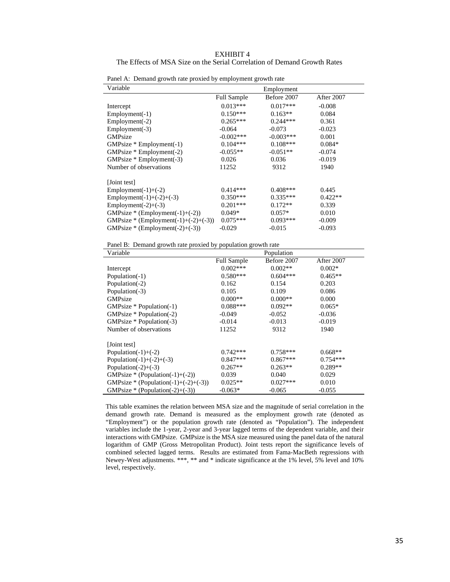| EXHIBIT 4                                                                |  |
|--------------------------------------------------------------------------|--|
| The Effects of MSA Size on the Serial Correlation of Demand Growth Rates |  |

| Variable                             |                    | Employment  |            |
|--------------------------------------|--------------------|-------------|------------|
|                                      | <b>Full Sample</b> | Before 2007 | After 2007 |
| Intercept                            | $0.013***$         | $0.017***$  | $-0.008$   |
| $Employment(-1)$                     | $0.150***$         | $0.163**$   | 0.084      |
| $Employment(-2)$                     | $0.265***$         | $0.244***$  | 0.361      |
| $Employment(-3)$                     | $-0.064$           | $-0.073$    | $-0.023$   |
| GMPsize                              | $-0.002$ ***       | $-0.003***$ | 0.001      |
| $GMPsize * Employment(-1)$           | $0.104***$         | $0.108***$  | $0.084*$   |
| $GMPsize * Employment(-2)$           | $-0.055**$         | $-0.051**$  | $-0.074$   |
| GMPsize * Employment(-3)             | 0.026              | 0.036       | $-0.019$   |
| Number of observations               | 11252              | 9312        | 1940       |
| [Joint test]                         |                    |             |            |
| $Employment(-1)+(-2)$                | $0.414***$         | $0.408***$  | 0.445      |
| Employment(-1)+(-2)+(-3)             | $0.350***$         | $0.335***$  | $0.422**$  |
| Employment(-2)+ $(-3)$               | $0.201***$         | $0.172**$   | 0.339      |
| GMPsize * (Employment(-1)+(-2))      | $0.049*$           | $0.057*$    | 0.010      |
| GMPsize * (Employment(-1)+(-2)+(-3)) | $0.075***$         | $0.093***$  | $-0.009$   |
| GMPsize * (Employment(-2)+(-3))      | $-0.029$           | $-0.015$    | $-0.093$   |

Panel A: Demand growth rate proxied by employment growth rate

Panel B: Demand growth rate proxied by population growth rate

| Variable                             |                    | Population  |            |
|--------------------------------------|--------------------|-------------|------------|
|                                      | <b>Full Sample</b> | Before 2007 | After 2007 |
| Intercept                            | $0.002***$         | $0.002**$   | $0.002*$   |
| Population(-1)                       | $0.580***$         | $0.604***$  | $0.465**$  |
| Population(-2)                       | 0.162              | 0.154       | 0.203      |
| Population(-3)                       | 0.105              | 0.109       | 0.086      |
| GMPsize                              | $0.000**$          | $0.000**$   | 0.000      |
| $GMPsize * Population(-1)$           | $0.088***$         | $0.092**$   | $0.065*$   |
| $GMPsize * Population(-2)$           | $-0.049$           | $-0.052$    | $-0.036$   |
| $GMPsize * Population(-3)$           | $-0.014$           | $-0.013$    | $-0.019$   |
| Number of observations               | 11252              | 9312        | 1940       |
| [Joint test]                         |                    |             |            |
| Population( $-1$ )+ $(-2)$           | $0.742***$         | $0.758***$  | $0.668**$  |
| Population(-1)+(-2)+(-3)             | $0.847***$         | $0.867***$  | $0.754***$ |
| Population( $-2$ )+ $(-3)$           | $0.267**$          | $0.263**$   | $0.289**$  |
| GMPsize * (Population(-1)+(-2))      | 0.039              | 0.040       | 0.029      |
| GMPsize * (Population(-1)+(-2)+(-3)) | $0.025**$          | $0.027***$  | 0.010      |
| GMPsize * (Population(-2)+(-3))      | $-0.063*$          | $-0.065$    | $-0.055$   |

This table examines the relation between MSA size and the magnitude of serial correlation in the demand growth rate. Demand is measured as the employment growth rate (denoted as "Employment") or the population growth rate (denoted as "Population"). The independent variables include the 1-year, 2-year and 3-year lagged terms of the dependent variable, and their interactions with GMPsize. GMPsize is the MSA size measured using the panel data of the natural logarithm of GMP (Gross Metropolitan Product). Joint tests report the significance levels of combined selected lagged terms. Results are estimated from Fama-MacBeth regressions with Newey-West adjustments. \*\*\*, \*\* and \* indicate significance at the 1% level, 5% level and 10% level, respectively.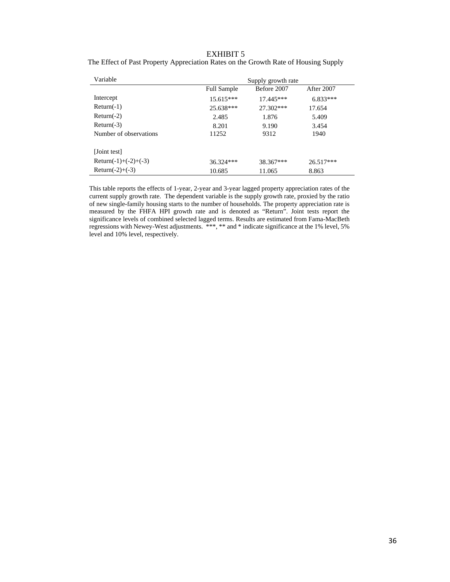### EXHIBIT 5

| The Effect of Past Property Appreciation Rates on the Growth Rate of Housing Supply |  |  |  |
|-------------------------------------------------------------------------------------|--|--|--|
|                                                                                     |  |  |  |

| Variable               |                    | Supply growth rate |            |
|------------------------|--------------------|--------------------|------------|
|                        | <b>Full Sample</b> | Before 2007        | After 2007 |
| Intercept              | $15.615***$        | $17.445***$        | $6.833***$ |
| $Return(-1)$           | 25.638***          | 27.302***          | 17.654     |
| $Return(-2)$           | 2.485              | 1.876              | 5.409      |
| $Return(-3)$           | 8.201              | 9.190              | 3.454      |
| Number of observations | 11252              | 9312               | 1940       |
|                        |                    |                    |            |
| [Joint test]           |                    |                    |            |
| Return(-1)+(-2)+(-3)   | $36.324***$        | 38.367***          | 26.517***  |
| Return(-2)+(-3)        | 10.685             | 11.065             | 8.863      |

This table reports the effects of 1-year, 2-year and 3-year lagged property appreciation rates of the current supply growth rate. The dependent variable is the supply growth rate, proxied by the ratio of new single-family housing starts to the number of households. The property appreciation rate is measured by the FHFA HPI growth rate and is denoted as "Return". Joint tests report the significance levels of combined selected lagged terms. Results are estimated from Fama-MacBeth regressions with Newey-West adjustments. \*\*\*, \*\* and \* indicate significance at the 1% level, 5% level and 10% level, respectively.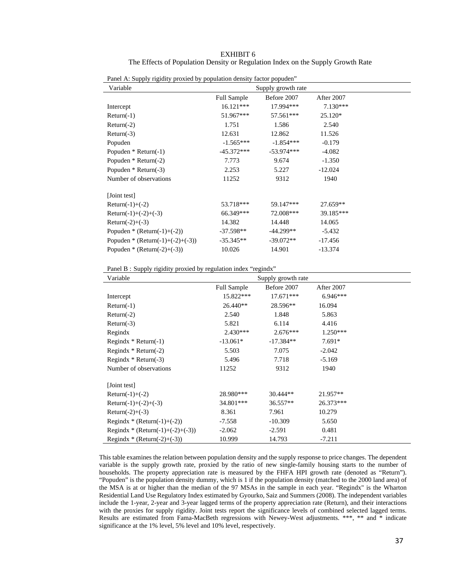| Panel A: Supply rigidity proxied by population density factor popuden" |                    |                    |            |  |
|------------------------------------------------------------------------|--------------------|--------------------|------------|--|
| Variable                                                               |                    | Supply growth rate |            |  |
|                                                                        | <b>Full Sample</b> | Before 2007        | After 2007 |  |
| Intercept                                                              | $16.121***$        | 17.994***          | $7.130***$ |  |
| $Return(-1)$                                                           | 51.967***          | 57.561***          | 25.120*    |  |
| $Return(-2)$                                                           | 1.751              | 1.586              | 2.540      |  |
| $Return(-3)$                                                           | 12.631             | 12.862             | 11.526     |  |
| Popuden                                                                | $-1.565***$        | $-1.854***$        | $-0.179$   |  |
| Popuden $*$ Return(-1)                                                 | $-45.372***$       | $-53.974***$       | $-4.082$   |  |
| Popuden $*$ Return(-2)                                                 | 7.773              | 9.674              | $-1.350$   |  |
| Popuden $*$ Return(-3)                                                 | 2.253              | 5.227              | $-12.024$  |  |
| Number of observations                                                 | 11252              | 9312               | 1940       |  |
| [Joint test]                                                           |                    |                    |            |  |
| Return $(-1)+(-2)$                                                     | 53.718***          | 59.147***          | 27.659**   |  |
| Return(-1)+(-2)+(-3)                                                   | 66.349***          | 72.008***          | 39.185***  |  |
| Return(-2)+ $(-3)$                                                     | 14.382             | 14.448             | 14.065     |  |
| Popuden * (Return(-1)+(-2))                                            | $-37.598**$        | -44.299**          | $-5.432$   |  |
| Popuden * (Return(-1)+(-2)+(-3))                                       | $-35.345**$        | $-39.072**$        | $-17.456$  |  |
| Popuden * (Return(-2)+(-3))                                            | 10.026             | 14.901             | $-13.374$  |  |

 The Effects of Population Density or Regulation Index on the Supply Growth Rate EXHIBIT 6

Panel B : Supply rigidity proxied by regulation index "regindx"

| Variable                         |                    | Supply growth rate |            |  |
|----------------------------------|--------------------|--------------------|------------|--|
|                                  | <b>Full Sample</b> | Before 2007        | After 2007 |  |
| Intercept                        | 15.822***          | $17.671***$        | $6.946***$ |  |
| $Return(-1)$                     | 26.440**           | 28.596**           | 16.094     |  |
| $Return(-2)$                     | 2.540              | 1.848              | 5.863      |  |
| $Return(-3)$                     | 5.821              | 6.114              | 4.416      |  |
| Regindx                          | $2.430***$         | $2.676***$         | $1.250***$ |  |
| Regindx $*$ Return(-1)           | $-13.061*$         | $-17.384**$        | $7.691*$   |  |
| Regindx $*$ Return(-2)           | 5.503              | 7.075              | $-2.042$   |  |
| Regindx $*$ Return(-3)           | 5.496              | 7.718              | $-5.169$   |  |
| Number of observations           | 11252              | 9312               | 1940       |  |
|                                  |                    |                    |            |  |
| [Joint test]                     |                    |                    |            |  |
| Return $(-1)+(-2)$               | 28.980***          | $30.444**$         | $21.957**$ |  |
| Return(-1)+(-2)+(-3)             | 34.801***          | $36.557**$         | 26.373***  |  |
| Return(-2)+ $(-3)$               | 8.361              | 7.961              | 10.279     |  |
| Regindx * (Return(-1)+(-2))      | -7.558             | $-10.309$          | 5.650      |  |
| Regindx * (Return(-1)+(-2)+(-3)) | $-2.062$           | $-2.591$           | 0.481      |  |
| Regindx * (Return(-2)+(-3))      | 10.999             | 14.793             | $-7.211$   |  |

This table examines the relation between population density and the supply response to price changes. The dependent variable is the supply growth rate, proxied by the ratio of new single-family housing starts to the number of households. The property appreciation rate is measured by the FHFA HPI growth rate (denoted as "Return"). "Popuden" is the population density dummy, which is 1 if the population density (matched to the 2000 land area) of the MSA is at or higher than the median of the 97 MSAs in the sample in each year. "Regindx" is the Wharton Residential Land Use Regulatory Index estimated by Gyourko, Saiz and Summers (2008). The independent variables include the 1-year, 2-year and 3-year lagged terms of the property appreciation rate (Return), and their interactions with the proxies for supply rigidity. Joint tests report the significance levels of combined selected lagged terms. Results are estimated from Fama-MacBeth regressions with Newey-West adjustments. \*\*\*, \*\* and \* indicate significance at the 1% level, 5% level and 10% level, respectively.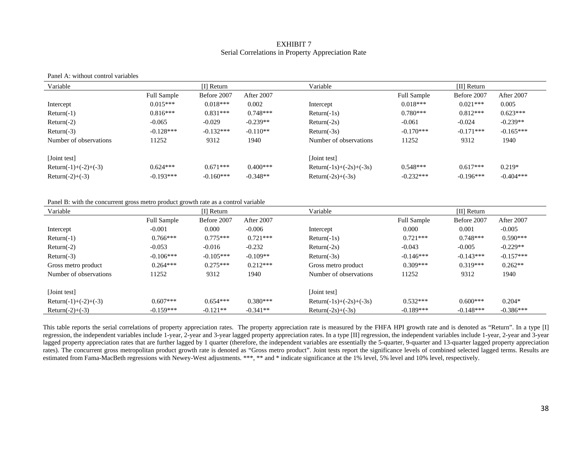#### EXHIBIT 7Serial Correlations in Property Appreciation Rate

#### Panel A: without control variables

| Variable               | $\prod$ Return     |             |            | Variable                            | $[II]$ Return      |             |             |
|------------------------|--------------------|-------------|------------|-------------------------------------|--------------------|-------------|-------------|
|                        | <b>Full Sample</b> | Before 2007 | After 2007 |                                     | <b>Full Sample</b> | Before 2007 | After 2007  |
| Intercept              | $0.015***$         | $0.018***$  | 0.002      | Intercept                           | $0.018***$         | $0.021***$  | 0.005       |
| $Return(-1)$           | $0.816***$         | $0.831***$  | $0.748***$ | $Return(-1s)$                       | $0.780***$         | $0.812***$  | $0.623***$  |
| $Return(-2)$           | $-0.065$           | $-0.029$    | $-0.239**$ | $Return(-2s)$                       | $-0.061$           | $-0.024$    | $-0.239**$  |
| $Return(-3)$           | $-0.128***$        | $-0.132***$ | $-0.110**$ | $Return(-3s)$                       | $-0.170***$        | $-0.171***$ | $-0.165***$ |
| Number of observations | 11252              | 9312        | 1940       | Number of observations              | 11252              | 9312        | 1940        |
| [Joint test]           |                    |             |            | [Joint test]                        |                    |             |             |
| Return(-1)+(-2)+(-3)   | $0.624***$         | $0.671***$  | $0.400***$ | Return( $-1s$ )+( $-2s$ )+( $-3s$ ) | $0.548***$         | $0.617***$  | $0.219*$    |
| Return(-2)+ $(-3)$     | $-0.193***$        | $-0.160***$ | $-0.348**$ | Return $(-2s)$ + $(-3s)$            | $-0.232***$        | $-0.196***$ | $-0.404***$ |

Panel B: with the concurrent gross metro product growth rate as a control variable

| Variable               |             | $[I]$ Return |            | Variable                           |                    | $[II]$ Return |             |
|------------------------|-------------|--------------|------------|------------------------------------|--------------------|---------------|-------------|
|                        | Full Sample | Before 2007  | After 2007 |                                    | <b>Full Sample</b> | Before 2007   | After 2007  |
| Intercept              | $-0.001$    | 0.000        | $-0.006$   | Intercept                          | 0.000              | 0.001         | $-0.005$    |
| $Return(-1)$           | $0.766***$  | $0.775***$   | $0.721***$ | $Return(-1s)$                      | $0.721***$         | $0.748***$    | $0.590***$  |
| $Return(-2)$           | $-0.053$    | $-0.016$     | $-0.232$   | $Return(-2s)$                      | $-0.043$           | $-0.005$      | $-0.229**$  |
| $Return(-3)$           | $-0.106***$ | $-0.105***$  | $-0.109**$ | $Return(-3s)$                      | $-0.146***$        | $-0.143***$   | $-0.157***$ |
| Gross metro product    | $0.264***$  | $0.275***$   | $0.212***$ | Gross metro product                | $0.309***$         | $0.319***$    | $0.262**$   |
| Number of observations | 11252       | 9312         | 1940       | Number of observations             | 11252              | 9312          | 1940        |
| [Joint test]           |             |              |            | [Joint test]                       |                    |               |             |
| Return(-1)+(-2)+(-3)   | $0.607***$  | $0.654***$   | $0.380***$ | Return( $-1s$ )+ $(-2s)$ + $(-3s)$ | $0.532***$         | $0.600***$    | $0.204*$    |
| Return(-2)+ $(-3)$     | $-0.159***$ | $-0.121**$   | $-0.341**$ | Return $(-2s)$ + $(-3s)$           | $-0.189***$        | $-0.148***$   | $-0.386***$ |

This table reports the serial correlations of property appreciation rates. The property appreciation rate is measured by the FHFA HPI growth rate and is denoted as "Return". In a type [I] regression, the independent variables include 1-year, 2-year and 3-year lagged property appreciation rates. In a type [II] regression, the independent variables include 1-year, 2-year and 3-year lagged property appreciation rates that are further lagged by 1 quarter (therefore, the independent variables are essentially the 5-quarter, 9-quarter and 13-quarter lagged property appreciation rates). The concurrent gross metropolitan product growth rate is denoted as "Gross metro product". Joint tests report the significance levels of combined selected lagged terms. Results are estimated from Fama-MacBeth regressions with Newey-West adjustments. \*\*\*, \*\* and \* indicate significance at the 1% level, 5% level and 10% level, respectively.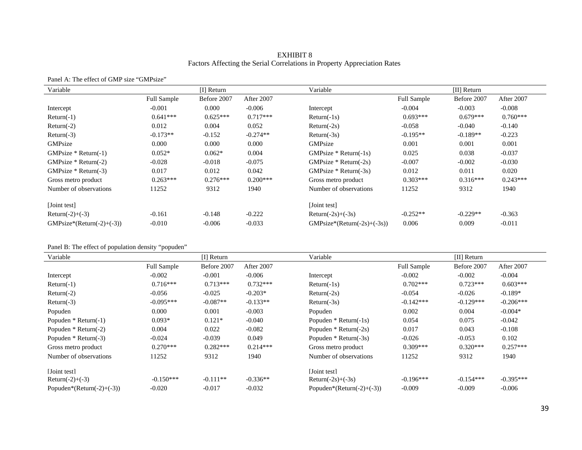#### EXHIBIT 8 Factors Affecting the Serial Correlations in Property Appreciation Rates

#### Panel A: The effect of GMP size "GMPsize"

| Variable                    | [I] Return         |             |            | Variable                        | $[II]$ Return      |             |            |
|-----------------------------|--------------------|-------------|------------|---------------------------------|--------------------|-------------|------------|
|                             | <b>Full Sample</b> | Before 2007 | After 2007 |                                 | <b>Full Sample</b> | Before 2007 | After 2007 |
| Intercept                   | $-0.001$           | 0.000       | $-0.006$   | Intercept                       | $-0.004$           | $-0.003$    | $-0.008$   |
| $Return(-1)$                | $0.641***$         | $0.625***$  | $0.717***$ | $Return(-1s)$                   | $0.693***$         | $0.679***$  | $0.760***$ |
| $Return(-2)$                | 0.012              | 0.004       | 0.052      | $Return(-2s)$                   | $-0.058$           | $-0.040$    | $-0.140$   |
| $Return(-3)$                | $-0.173**$         | $-0.152$    | $-0.274**$ | $Return(-3s)$                   | $-0.195**$         | $-0.189**$  | $-0.223$   |
| GMPsize                     | 0.000              | 0.000       | 0.000      | GMPsize                         | 0.001              | 0.001       | 0.001      |
| $GMPsize * Return(-1)$      | $0.052*$           | $0.062*$    | 0.004      | $GMPsize * Return(-1s)$         | 0.025              | 0.038       | $-0.037$   |
| GMPsize $*$ Return(-2)      | $-0.028$           | $-0.018$    | $-0.075$   | GMPsize $*$ Return(-2s)         | $-0.007$           | $-0.002$    | $-0.030$   |
| $GMPsize * Return(-3)$      | 0.017              | 0.012       | 0.042      | GMPsize $*$ Return(-3s)         | 0.012              | 0.011       | 0.020      |
| Gross metro product         | $0.263***$         | $0.276***$  | $0.200***$ | Gross metro product             | $0.303***$         | $0.316***$  | $0.243***$ |
| Number of observations      | 11252              | 9312        | 1940       | Number of observations          | 11252              | 9312        | 1940       |
| [Joint test]                |                    |             |            | [Joint test]                    |                    |             |            |
| Return(-2)+(-3)             | $-0.161$           | $-0.148$    | $-0.222$   | Return $(-2s)$ + $(-3s)$        | $-0.252**$         | $-0.229**$  | $-0.363$   |
| $GMPsize*(Return(-2)+(-3))$ | $-0.010$           | $-0.006$    | $-0.033$   | $GMPsize*(Return(-2s) + (-3s))$ | 0.006              | 0.009       | $-0.011$   |

#### Panel B: The effect of population density "popuden"

| Variable                  |                    | $\prod$ Return |            | Variable                  |                    | [II] Return |             |
|---------------------------|--------------------|----------------|------------|---------------------------|--------------------|-------------|-------------|
|                           | <b>Full Sample</b> | Before 2007    | After 2007 |                           | <b>Full Sample</b> | Before 2007 | After 2007  |
| Intercept                 | $-0.002$           | $-0.001$       | $-0.006$   | Intercept                 | $-0.002$           | $-0.002$    | $-0.004$    |
| $Return(-1)$              | $0.716***$         | $0.713***$     | $0.732***$ | $Return(-1s)$             | $0.702***$         | $0.723***$  | $0.603***$  |
| $Return(-2)$              | $-0.056$           | $-0.025$       | $-0.203*$  | $Return(-2s)$             | $-0.054$           | $-0.026$    | $-0.189*$   |
| $Return(-3)$              | $-0.095***$        | $-0.087**$     | $-0.133**$ | $Return(-3s)$             | $-0.142***$        | $-0.129***$ | $-0.206***$ |
| Popuden                   | 0.000              | 0.001          | $-0.003$   | Popuden                   | 0.002              | 0.004       | $-0.004*$   |
| Popuden $*$ Return(-1)    | $0.093*$           | $0.121*$       | $-0.040$   | Popuden $*$ Return(-1s)   | 0.054              | 0.075       | $-0.042$    |
| Popuden $*$ Return(-2)    | 0.004              | 0.022          | $-0.082$   | Popuden $*$ Return(-2s)   | 0.017              | 0.043       | $-0.108$    |
| Popuden $*$ Return(-3)    | $-0.024$           | $-0.039$       | 0.049      | Popuden $*$ Return(-3s)   | $-0.026$           | $-0.053$    | 0.102       |
| Gross metro product       | $0.270***$         | $0.282***$     | $0.214***$ | Gross metro product       | $0.309***$         | $0.320***$  | $0.257***$  |
| Number of observations    | 11252              | 9312           | 1940       | Number of observations    | 11252              | 9312        | 1940        |
| [Joint test]              |                    |                |            | [Joint test]              |                    |             |             |
| Return(-2)+(-3)           | $-0.150***$        | $-0.111**$     | $-0.336**$ | Return $(-2s)$ + $(-3s)$  | $-0.196***$        | $-0.154***$ | $-0.395***$ |
| Popuden*(Return(-2)+(-3)) | $-0.020$           | $-0.017$       | $-0.032$   | Popuden*(Return(-2)+(-3)) | $-0.009$           | $-0.009$    | $-0.006$    |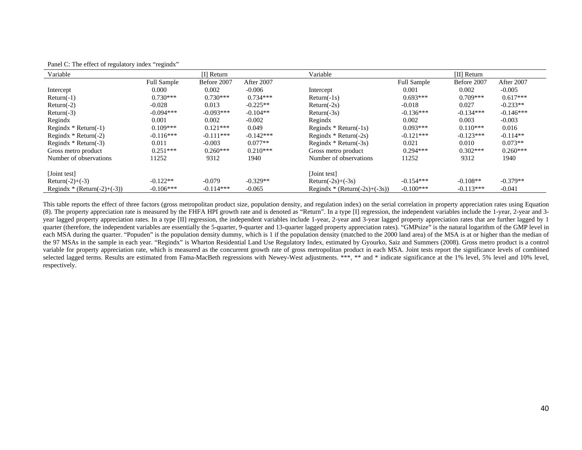| Variable                    |                    | $\prod$ Return |             | Variable                      |                    | $[II]$ Return |             |
|-----------------------------|--------------------|----------------|-------------|-------------------------------|--------------------|---------------|-------------|
|                             | <b>Full Sample</b> | Before 2007    | After 2007  |                               | <b>Full Sample</b> | Before 2007   | After 2007  |
| Intercept                   | 0.000              | 0.002          | $-0.006$    | Intercept                     | 0.001              | 0.002         | $-0.005$    |
| $Return(-1)$                | $0.730***$         | $0.730***$     | $0.734***$  | $Return(-1s)$                 | $0.693***$         | $0.709***$    | $0.617***$  |
| $Return(-2)$                | $-0.028$           | 0.013          | $-0.225**$  | $Return(-2s)$                 | $-0.018$           | 0.027         | $-0.233**$  |
| $Return(-3)$                | $-0.094***$        | $-0.093***$    | $-0.104**$  | $Return(-3s)$                 | $-0.136***$        | $-0.134***$   | $-0.146***$ |
| Regindx                     | 0.001              | 0.002          | $-0.002$    | Regindx                       | 0.002              | 0.003         | $-0.003$    |
| Regindx $*$ Return(-1)      | $0.109***$         | $0.121***$     | 0.049       | Regindx $*$ Return(-1s)       | $0.093***$         | $0.110***$    | 0.016       |
| Regindx $*$ Return(-2)      | $-0.116***$        | $-0.111***$    | $-0.142***$ | Regindx $*$ Return(-2s)       | $-0.121***$        | $-0.123***$   | $-0.114**$  |
| Regindx $*$ Return(-3)      | 0.011              | $-0.003$       | $0.077**$   | Regindx $*$ Return(-3s)       | 0.021              | 0.010         | $0.073**$   |
| Gross metro product         | $0.251***$         | $0.260***$     | $0.210***$  | Gross metro product           | $0.294***$         | $0.302***$    | $0.260***$  |
| Number of observations      | 11252              | 9312           | 1940        | Number of observations        | 11252              | 9312          | 1940        |
| [Joint test]                |                    |                |             | [Joint test]                  |                    |               |             |
| Return(-2)+ $(-3)$          | $-0.122**$         | $-0.079$       | $-0.329**$  | Return $(-2s)$ + $(-3s)$      | $-0.154***$        | $-0.108**$    | $-0.379**$  |
| Regindx * (Return(-2)+(-3)) | $-0.106***$        | $-0.114***$    | $-0.065$    | Regindx * (Return(-2s)+(-3s)) | $-0.100***$        | $-0.113***$   | $-0.041$    |

Panel C: The effect of regulatory index "regindx"

This table reports the effect of three factors (gross metropolitan product size, population density, and regulation index) on the serial correlation in property appreciation rates using Equation (8). The property appreciation rate is measured by the FHFA HPI growth rate and is denoted as "Return". In a type [I] regression, the independent variables include the 1-year, 2-year and 3 year lagged property appreciation rates. In a type [II] regression, the independent variables include 1-year, 2-year and 3-year lagged property appreciation rates that are further lagged by 1 quarter (therefore, the independent variables are essentially the 5-quarter, 9-quarter and 13-quarter lagged property appreciation rates). "GMPsize" is the natural logarithm of the GMP level in each MSA during the quarter. "Popuden" is the population density dummy, which is 1 if the population density (matched to the 2000 land area) of the MSA is at or higher than the median of the 97 MSAs in the sample in each year. "Regindx" is Wharton Residential Land Use Regulatory Index, estimated by Gyourko, Saiz and Summers (2008). Gross metro product is a control variable for property appreciation rate, which is measured as the concurrent growth rate of gross metropolitan product in each MSA. Joint tests report the significance levels of combined selected lagged terms. Results are estimated from Fama-MacBeth regressions with Newey-West adjustments. \*\*\*, \*\* and \* indicate significance at the 1% level, 5% level and 10% level, respectively.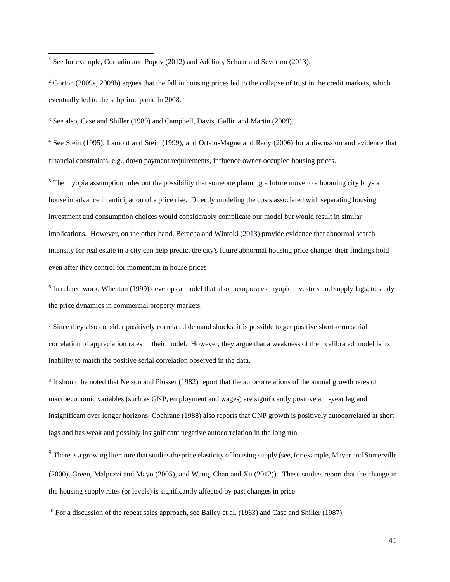<sup>1</sup> See for example, Corradin and Popov (2012) and Adelino, Schoar and Severino (2013).

<u>.</u>

<sup>2</sup> Gorton (2009a, 2009b) argues that the fall in housing prices led to the collapse of trust in the credit markets, which eventually led to the subprime panic in 2008.

<sup>3</sup> See also, Case and Shiller (1989) and Campbell, Davis, Gallin and Martin (2009).

<sup>4</sup> See Stein (1995), Lamont and Stein (1999), and Ortalo-Magné and Rady (2006) for a discussion and evidence that financial constraints, e.g., down payment requirements, influence owner-occupied housing prices.

<sup>5</sup> The myopia assumption rules out the possibility that someone planning a future move to a booming city buys a house in advance in anticipation of a price rise. Directly modeling the costs associated with separating housing investment and consumption choices would considerably complicate our model but would result in similar implications. However, on the other hand, Beracha and Wintoki (2013) provide evidence that abnormal search intensity for real estate in a city can help predict the city's future abnormal housing price change. their findings hold even after they control for momentum in house prices

<sup>6</sup> In related work, Wheaton (1999) develops a model that also incorporates myopic investors and supply lags, to study the price dynamics in commercial property markets.

<sup>7</sup> Since they also consider positively correlated demand shocks, it is possible to get positive short-term serial correlation of appreciation rates in their model. However, they argue that a weakness of their calibrated model is its inability to match the positive serial correlation observed in the data.

<sup>8</sup> It should be noted that Nelson and Plosser (1982) report that the autocorrelations of the annual growth rates of macroeconomic variables (such as GNP, employment and wages) are significantly positive at 1-year lag and insignificant over longer horizons. Cochrane (1988) also reports that GNP growth is positively autocorrelated at short lags and has weak and possibly insignificant negative autocorrelation in the long run.

<sup>9</sup> There is a growing literature that studies the price elasticity of housing supply (see, for example, Mayer and Somerville (2000), Green, Malpezzi and Mayo (2005), and Wang, Chan and Xu (2012)). These studies report that the change in the housing supply rates (or levels) is significantly affected by past changes in price.

 $10$  For a discussion of the repeat sales approach, see Bailey et al. (1963) and Case and Shiller (1987).